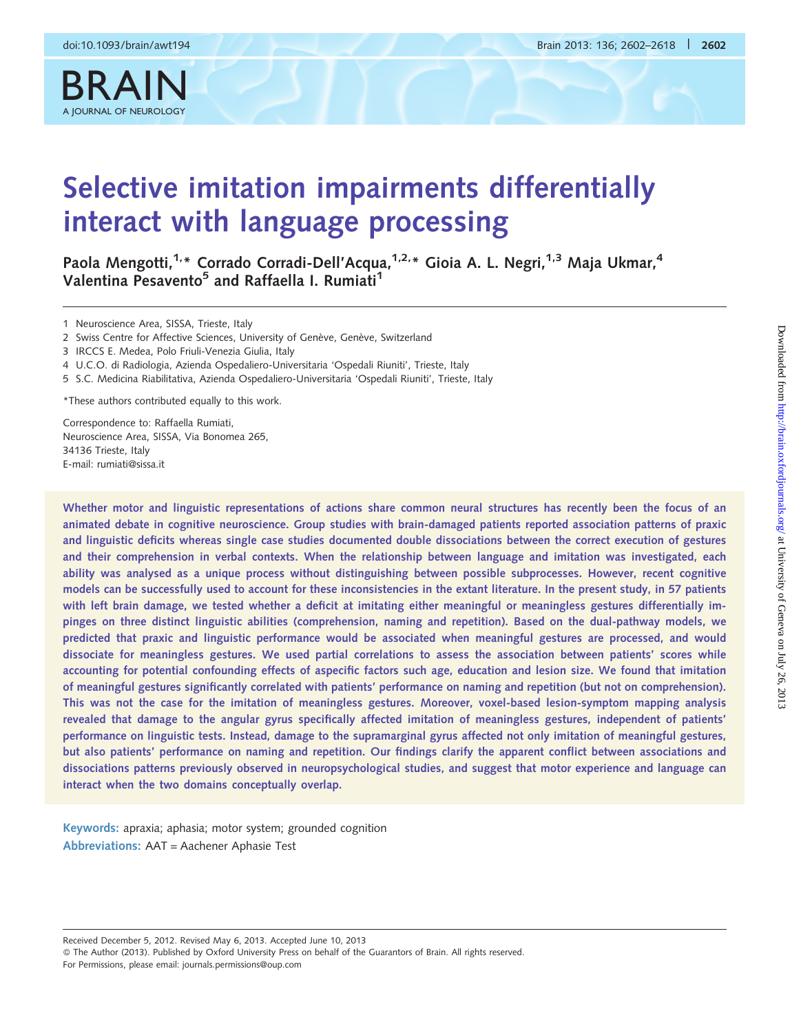BRAIN

#### doi:10.1093/brain/awt194 Brain 2013: 136; 2602–2618 | 2602

# Selective imitation impairments differentially interact with language processing

Paola Mengotti,<sup>1,\*</sup> Corrado Corradi-Dell'Acqua,<sup>1,2,\*</sup> Gioia A. L. Negri,<sup>1,3</sup> Maja Ukmar,<sup>4</sup> Valentina Pesavento<sup>5</sup> and Raffaella I. Rumiati<sup>1</sup>

1 Neuroscience Area, SISSA, Trieste, Italy

2 Swiss Centre for Affective Sciences, University of Genève, Genève, Switzerland

3 IRCCS E. Medea, Polo Friuli-Venezia Giulia, Italy

4 U.C.O. di Radiologia, Azienda Ospedaliero-Universitaria 'Ospedali Riuniti', Trieste, Italy

5 S.C. Medicina Riabilitativa, Azienda Ospedaliero-Universitaria 'Ospedali Riuniti', Trieste, Italy

\*These authors contributed equally to this work.

Correspondence to: Raffaella Rumiati, Neuroscience Area, SISSA, Via Bonomea 265, 34136 Trieste, Italy E-mail: rumiati@sissa.it

Whether motor and linguistic representations of actions share common neural structures has recently been the focus of an animated debate in cognitive neuroscience. Group studies with brain-damaged patients reported association patterns of praxic and linguistic deficits whereas single case studies documented double dissociations between the correct execution of gestures and their comprehension in verbal contexts. When the relationship between language and imitation was investigated, each ability was analysed as a unique process without distinguishing between possible subprocesses. However, recent cognitive models can be successfully used to account for these inconsistencies in the extant literature. In the present study, in 57 patients with left brain damage, we tested whether a deficit at imitating either meaningful or meaningless gestures differentially impinges on three distinct linguistic abilities (comprehension, naming and repetition). Based on the dual-pathway models, we predicted that praxic and linguistic performance would be associated when meaningful gestures are processed, and would dissociate for meaningless gestures. We used partial correlations to assess the association between patients' scores while accounting for potential confounding effects of aspecific factors such age, education and lesion size. We found that imitation of meaningful gestures significantly correlated with patients' performance on naming and repetition (but not on comprehension). This was not the case for the imitation of meaningless gestures. Moreover, voxel-based lesion-symptom mapping analysis revealed that damage to the angular gyrus specifically affected imitation of meaningless gestures, independent of patients' performance on linguistic tests. Instead, damage to the supramarginal gyrus affected not only imitation of meaningful gestures, but also patients' performance on naming and repetition. Our findings clarify the apparent conflict between associations and dissociations patterns previously observed in neuropsychological studies, and suggest that motor experience and language can interact when the two domains conceptually overlap.

Keywords: apraxia; aphasia; motor system; grounded cognition Abbreviations: AAT = Aachener Aphasie Test

Received December 5, 2012. Revised May 6, 2013. Accepted June 10, 2013 - The Author (2013). Published by Oxford University Press on behalf of the Guarantors of Brain. All rights reserved. For Permissions, please email: journals.permissions@oup.com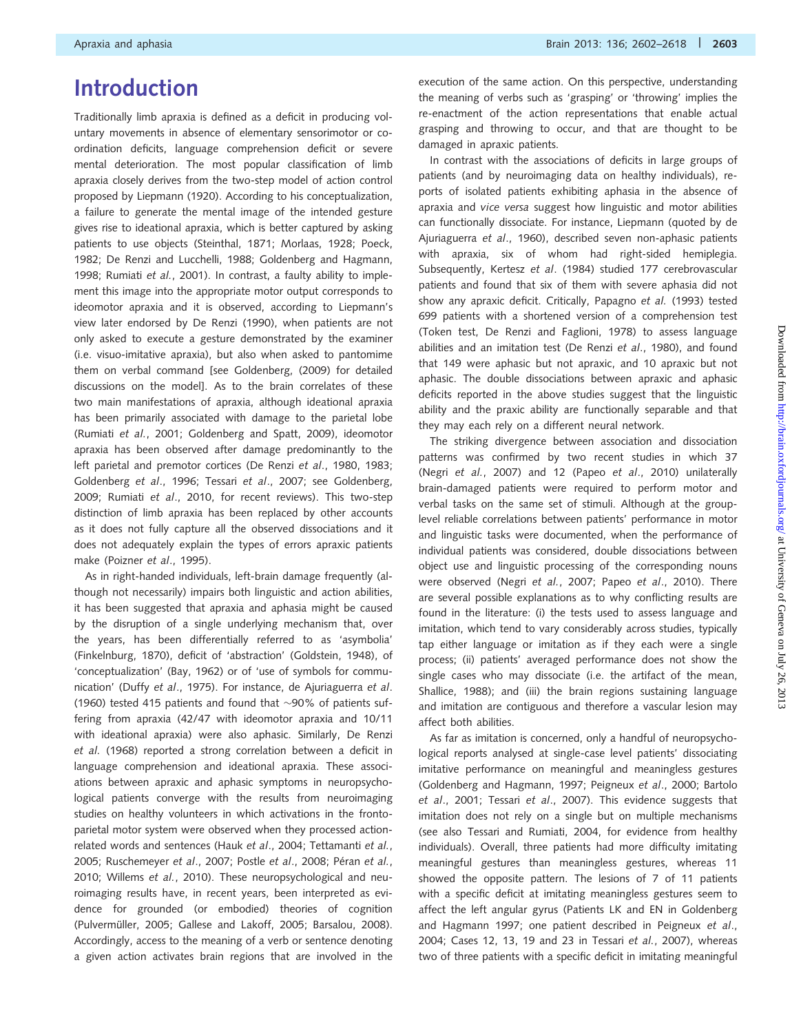# Introduction

Traditionally limb apraxia is defined as a deficit in producing voluntary movements in absence of elementary sensorimotor or coordination deficits, language comprehension deficit or severe mental deterioration. The most popular classification of limb apraxia closely derives from the two-step model of action control proposed by [Liepmann \(1920\).](#page-15-0) According to his conceptualization, a failure to generate the mental image of the intended gesture gives rise to ideational apraxia, which is better captured by asking patients to use objects [\(Steinthal, 1871](#page-16-0); [Morlaas, 1928;](#page-15-0) [Poeck,](#page-16-0) [1982](#page-16-0); [De Renzi and Lucchelli, 1988; Goldenberg and Hagmann,](#page-15-0) [1998](#page-15-0); [Rumiati](#page-16-0) et al., 2001). In contrast, a faulty ability to implement this image into the appropriate motor output corresponds to ideomotor apraxia and it is observed, according to Liepmann's view later endorsed by [De Renzi \(1990\)](#page-15-0), when patients are not only asked to execute a gesture demonstrated by the examiner (i.e. visuo-imitative apraxia), but also when asked to pantomime them on verbal command [see [Goldenberg, \(2009\)](#page-15-0) for detailed discussions on the model]. As to the brain correlates of these two main manifestations of apraxia, although ideational apraxia has been primarily associated with damage to the parietal lobe ([Rumiati](#page-16-0) et al., 2001; [Goldenberg and Spatt, 2009\)](#page-15-0), ideomotor apraxia has been observed after damage predominantly to the left parietal and premotor cortices [\(De Renzi](#page-15-0) et al., 1980, [1983](#page-15-0); [Goldenberg](#page-15-0) et al., 1996; Tessari et al[., 2007](#page-16-0); see [Goldenberg,](#page-15-0) [2009](#page-15-0); Rumiati et al[., 2010,](#page-16-0) for recent reviews). This two-step distinction of limb apraxia has been replaced by other accounts as it does not fully capture all the observed dissociations and it does not adequately explain the types of errors apraxic patients make (Poizner et al[., 1995\)](#page-16-0).

As in right-handed individuals, left-brain damage frequently (although not necessarily) impairs both linguistic and action abilities, it has been suggested that apraxia and aphasia might be caused by the disruption of a single underlying mechanism that, over the years, has been differentially referred to as 'asymbolia' ([Finkelnburg, 1870](#page-15-0)), deficit of 'abstraction' ([Goldstein, 1948](#page-15-0)), of 'conceptualization' ([Bay, 1962](#page-15-0)) or of 'use of symbols for communication' (Duffy et al[., 1975\)](#page-15-0). For instance, [de Ajuriaguerra](#page-15-0) et al. [\(1960\)](#page-15-0) tested 415 patients and found that  $\sim$ 90% of patients suffering from apraxia (42/47 with ideomotor apraxia and 10/11 with ideational apraxia) were also aphasic. Similarly, [De Renzi](#page-15-0) et al. [\(1968\)](#page-15-0) reported a strong correlation between a deficit in language comprehension and ideational apraxia. These associations between apraxic and aphasic symptoms in neuropsychological patients converge with the results from neuroimaging studies on healthy volunteers in which activations in the frontoparietal motor system were observed when they processed actionrelated words and sentences (Hauk et al[., 2004;](#page-15-0) [Tettamanti](#page-16-0) et al., [2005](#page-16-0); [Ruschemeyer](#page-16-0) et al., 2007; Postle et al., 2008; Péran et al., [2010](#page-16-0); [Willems](#page-16-0) et al., 2010). These neuropsychological and neuroimaging results have, in recent years, been interpreted as evidence for grounded (or embodied) theories of cognition (Pulvermüller, 2005; [Gallese and Lakoff, 2005; Barsalou, 2008](#page-15-0)). Accordingly, access to the meaning of a verb or sentence denoting a given action activates brain regions that are involved in the execution of the same action. On this perspective, understanding the meaning of verbs such as 'grasping' or 'throwing' implies the re-enactment of the action representations that enable actual grasping and throwing to occur, and that are thought to be damaged in apraxic patients.

In contrast with the associations of deficits in large groups of patients (and by neuroimaging data on healthy individuals), reports of isolated patients exhibiting aphasia in the absence of apraxia and vice versa suggest how linguistic and motor abilities can functionally dissociate. For instance, Liepmann (quoted by [de](#page-15-0) [Ajuriaguerra](#page-15-0) et al., 1960), described seven non-aphasic patients with apraxia, six of whom had right-sided hemiplegia. Subsequently, Kertesz et al[. \(1984\)](#page-15-0) studied 177 cerebrovascular patients and found that six of them with severe aphasia did not show any apraxic deficit. Critically, [Papagno](#page-16-0) et al. (1993) tested 699 patients with a shortened version of a comprehension test (Token test, [De Renzi and Faglioni, 1978](#page-15-0)) to assess language abilities and an imitation test [\(De Renzi](#page-15-0) et al., 1980), and found that 149 were aphasic but not apraxic, and 10 apraxic but not aphasic. The double dissociations between apraxic and aphasic deficits reported in the above studies suggest that the linguistic ability and the praxic ability are functionally separable and that they may each rely on a different neural network.

The striking divergence between association and dissociation patterns was confirmed by two recent studies in which 37 (Negri et al.[, 2007](#page-15-0)) and 12 (Papeo et al[., 2010\)](#page-16-0) unilaterally brain-damaged patients were required to perform motor and verbal tasks on the same set of stimuli. Although at the grouplevel reliable correlations between patients' performance in motor and linguistic tasks were documented, when the performance of individual patients was considered, double dissociations between object use and linguistic processing of the corresponding nouns were observed (Negri et al.[, 2007;](#page-15-0) Papeo et al[., 2010](#page-16-0)). There are several possible explanations as to why conflicting results are found in the literature: (i) the tests used to assess language and imitation, which tend to vary considerably across studies, typically tap either language or imitation as if they each were a single process; (ii) patients' averaged performance does not show the single cases who may dissociate (i.e. the artifact of the mean, [Shallice, 1988](#page-16-0)); and (iii) the brain regions sustaining language and imitation are contiguous and therefore a vascular lesion may affect both abilities.

As far as imitation is concerned, only a handful of neuropsychological reports analysed at single-case level patients' dissociating imitative performance on meaningful and meaningless gestures [\(Goldenberg and Hagmann, 1997;](#page-15-0) [Peigneux](#page-16-0) et al., 2000; [Bartolo](#page-15-0) et al[., 2001;](#page-15-0) Tessari et al[., 2007](#page-16-0)). This evidence suggests that imitation does not rely on a single but on multiple mechanisms (see also [Tessari and Rumiati, 2004](#page-16-0), for evidence from healthy individuals). Overall, three patients had more difficulty imitating meaningful gestures than meaningless gestures, whereas 11 showed the opposite pattern. The lesions of 7 of 11 patients with a specific deficit at imitating meaningless gestures seem to affect the left angular gyrus (Patients LK and EN in [Goldenberg](#page-15-0) [and Hagmann 1997;](#page-15-0) one patient described in [Peigneux](#page-16-0) et al., [2004](#page-16-0); Cases 12, 13, 19 and 23 in Tessari et al.[, 2007\)](#page-16-0), whereas two of three patients with a specific deficit in imitating meaningful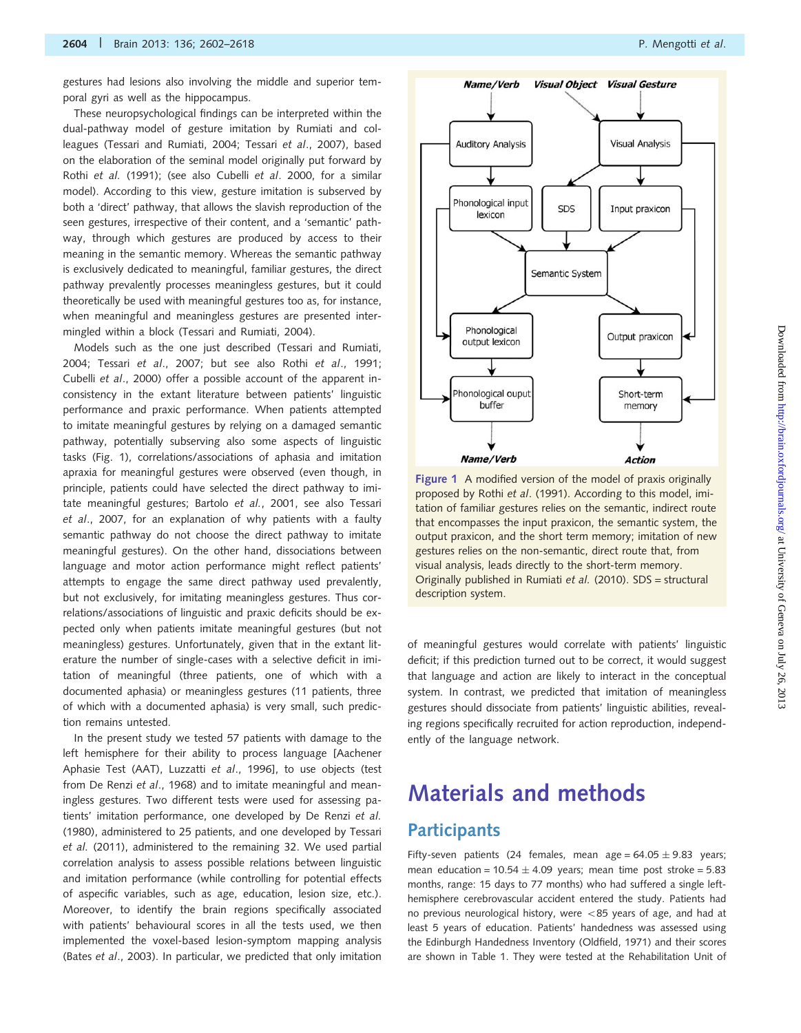gestures had lesions also involving the middle and superior temporal gyri as well as the hippocampus.

These neuropsychological findings can be interpreted within the dual-pathway model of gesture imitation by Rumiati and colleagues [\(Tessari and Rumiati, 2004](#page-16-0); Tessari et al[., 2007\)](#page-16-0), based on the elaboration of the seminal model originally put forward by Rothi et al. [\(1991\)](#page-16-0); (see also Cubelli et al[. 2000,](#page-15-0) for a similar model). According to this view, gesture imitation is subserved by both a 'direct' pathway, that allows the slavish reproduction of the seen gestures, irrespective of their content, and a 'semantic' pathway, through which gestures are produced by access to their meaning in the semantic memory. Whereas the semantic pathway is exclusively dedicated to meaningful, familiar gestures, the direct pathway prevalently processes meaningless gestures, but it could theoretically be used with meaningful gestures too as, for instance, when meaningful and meaningless gestures are presented intermingled within a block ([Tessari and Rumiati, 2004](#page-16-0)).

Models such as the one just described ([Tessari and Rumiati,](#page-16-0) [2004;](#page-16-0) Tessari et al[., 2007](#page-16-0); but see also Rothi et al[., 1991;](#page-16-0) Cubelli et al[., 2000\)](#page-15-0) offer a possible account of the apparent inconsistency in the extant literature between patients' linguistic performance and praxic performance. When patients attempted to imitate meaningful gestures by relying on a damaged semantic pathway, potentially subserving also some aspects of linguistic tasks (Fig. 1), correlations/associations of aphasia and imitation apraxia for meaningful gestures were observed (even though, in principle, patients could have selected the direct pathway to imitate meaningful gestures; [Bartolo](#page-15-0) et al., 2001, see also [Tessari](#page-16-0) et al[., 2007,](#page-16-0) for an explanation of why patients with a faulty semantic pathway do not choose the direct pathway to imitate meaningful gestures). On the other hand, dissociations between language and motor action performance might reflect patients' attempts to engage the same direct pathway used prevalently, but not exclusively, for imitating meaningless gestures. Thus correlations/associations of linguistic and praxic deficits should be expected only when patients imitate meaningful gestures (but not meaningless) gestures. Unfortunately, given that in the extant literature the number of single-cases with a selective deficit in imitation of meaningful (three patients, one of which with a documented aphasia) or meaningless gestures (11 patients, three of which with a documented aphasia) is very small, such prediction remains untested.

In the present study we tested 57 patients with damage to the left hemisphere for their ability to process language [Aachener Aphasie Test (AAT), [Luzzatti](#page-15-0) et al., 1996], to use objects (test from [De Renzi](#page-15-0) et al., 1968) and to imitate meaningful and meaningless gestures. Two different tests were used for assessing patients' imitation performance, one developed by [De Renzi](#page-15-0) et al. [\(1980\),](#page-15-0) administered to 25 patients, and one developed by [Tessari](#page-16-0) et al. [\(2011\),](#page-16-0) administered to the remaining 32. We used partial correlation analysis to assess possible relations between linguistic and imitation performance (while controlling for potential effects of aspecific variables, such as age, education, lesion size, etc.). Moreover, to identify the brain regions specifically associated with patients' behavioural scores in all the tests used, we then implemented the voxel-based lesion-symptom mapping analysis (Bates et al[., 2003](#page-15-0)). In particular, we predicted that only imitation



**Visual Object Visual Gesture** 

Name/Verb

proposed by Rothi et al[. \(1991\)](#page-16-0). According to this model, imitation of familiar gestures relies on the semantic, indirect route that encompasses the input praxicon, the semantic system, the output praxicon, and the short term memory; imitation of new gestures relies on the non-semantic, direct route that, from visual analysis, leads directly to the short-term memory. Originally published in [Rumiati](#page-16-0) et al. (2010). SDS = structural description system.

of meaningful gestures would correlate with patients' linguistic deficit; if this prediction turned out to be correct, it would suggest that language and action are likely to interact in the conceptual system. In contrast, we predicted that imitation of meaningless gestures should dissociate from patients' linguistic abilities, revealing regions specifically recruited for action reproduction, independently of the language network.

# Materials and methods **Participants**

Fifty-seven patients (24 females, mean age =  $64.05 \pm 9.83$  years; mean education =  $10.54 \pm 4.09$  years; mean time post stroke = 5.83 months, range: 15 days to 77 months) who had suffered a single lefthemisphere cerebrovascular accident entered the study. Patients had no previous neurological history, were  $<$ 85 years of age, and had at least 5 years of education. Patients' handedness was assessed using the Edinburgh Handedness Inventory ([Oldfield, 1971\)](#page-15-0) and their scores are shown in [Table 1](#page-3-0). They were tested at the Rehabilitation Unit of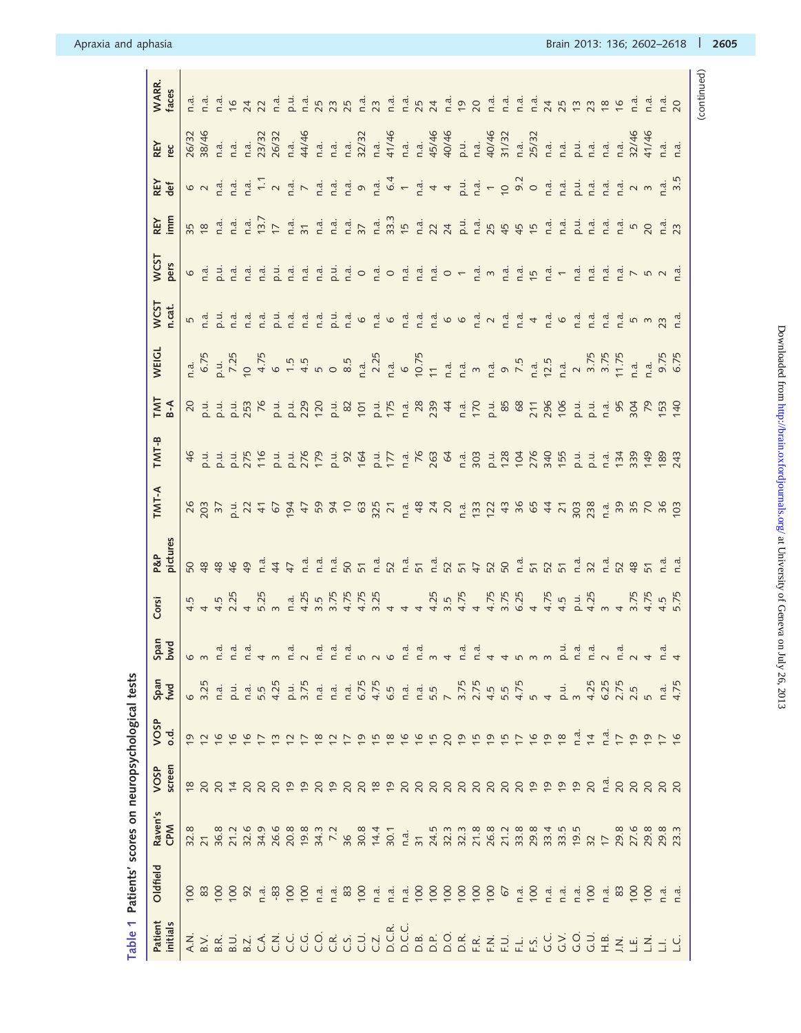| こうしょう うちゅう トランド・コーヒー                                       |
|------------------------------------------------------------|
|                                                            |
|                                                            |
|                                                            |
|                                                            |
|                                                            |
| ֖֖֖ׅׅׅ֖֧֚֚֚֚֚֚֚֚֚֚֚֚֚֚֚֚֚֚֚֚֚֚֚֚֚֚֚֚֚֚֡֬֝֬֓֡֞֝֓֞           |
| <b>ALCOHOL DE CALLACHERA CHA CONCERNER CHARGE LES LONG</b> |
|                                                            |
|                                                            |
|                                                            |
|                                                            |
|                                                            |

<span id="page-3-0"></span>

| WARR.<br>faces        |                         |                  | は は は 乍 カ ス は 山 は 万 刃 ね 辺 込 れ は ち カ は ね り 刀 は ほ は み 巧 り ひ は は は カ り 刃 格 は は カ り 辺 ほ は は ひ り は は は カ り つ ほ は は |                                                                                                                                                                                                                                     |               |                          |                |                |                |                         |                |                |                |                     |                |                                                                                                                                                                                                                                                                                                                                                                                                                                       |                 |                  |                                                                                                                                                                                                                                                                                                                                                                                                                                   |                             |                             |                    |                |                                                                       |               |                                                                                                                                                                                                                                                                                                                                                                                                                                   |                 |                |                  |                   |                |                |                |                                                      |                |
|-----------------------|-------------------------|------------------|---------------------------------------------------------------------------------------------------------------|-------------------------------------------------------------------------------------------------------------------------------------------------------------------------------------------------------------------------------------|---------------|--------------------------|----------------|----------------|----------------|-------------------------|----------------|----------------|----------------|---------------------|----------------|---------------------------------------------------------------------------------------------------------------------------------------------------------------------------------------------------------------------------------------------------------------------------------------------------------------------------------------------------------------------------------------------------------------------------------------|-----------------|------------------|-----------------------------------------------------------------------------------------------------------------------------------------------------------------------------------------------------------------------------------------------------------------------------------------------------------------------------------------------------------------------------------------------------------------------------------|-----------------------------|-----------------------------|--------------------|----------------|-----------------------------------------------------------------------|---------------|-----------------------------------------------------------------------------------------------------------------------------------------------------------------------------------------------------------------------------------------------------------------------------------------------------------------------------------------------------------------------------------------------------------------------------------|-----------------|----------------|------------------|-------------------|----------------|----------------|----------------|------------------------------------------------------|----------------|
| REY<br>്യ             |                         | 26/32<br>38/46   |                                                                                                               | na a 2008.<br>1 may 2008 1 may 2008 1 may 2008 1 may 2008 1 may 2008 1 may 2008 1 may 2008 1 may 2008 1 may 2008 1 may 2008<br>1 may 2008 1 may 2008 1 may 2008 1 may 2008 1 may 2008 1 may 2008 1 may 2008 1 may 2008 1 may 2008 1 |               |                          |                |                |                |                         |                |                |                |                     |                |                                                                                                                                                                                                                                                                                                                                                                                                                                       |                 |                  |                                                                                                                                                                                                                                                                                                                                                                                                                                   |                             |                             |                    |                |                                                                       |               |                                                                                                                                                                                                                                                                                                                                                                                                                                   |                 |                |                  |                   |                |                |                | $\begin{array}{cc} \n a & a \\  1 & a\n \end{array}$ |                |
| REY<br>def            |                         | $\circ$ $\sim$   |                                                                                                               | $\begin{array}{cccc}\n\mathbf{a} & \mathbf{a} & \mathbf{c} \\ \mathbf{c} & \mathbf{c} & \mathbf{d} \\ \mathbf{c} & \mathbf{c} & \mathbf{c}\n\end{array}$                                                                            |               |                          |                |                |                |                         |                |                |                |                     |                | $\begin{array}{l} \frac{1}{c} \, \, \mathop{\rule[0pt]{0pt}{0.5pt}}\nolimits^{\mathop{\rule[0pt]{0pt}{0.5pt}}\nolimits^{\mathop{\rule[0pt]{0pt}{0.5pt}}\nolimits^{\mathop{\rule[0pt]{0pt}{0.5pt}}\nolimits^{\mathop{\rule[0pt]{0pt}{0.5pt}}\nolimits}}}\, \, \mathop{\rule[0pt]{0pt}{0.5pt}}\nolimits^{\mathop{\rule[0pt]{0pt}{0.5pt}}\nolimits^{\mathop{\rule[0pt]{0pt}{0.5pt}}\nolimits^{\mathop{\rule[0pt]{0pt}{0.5pt}}\nolimits^$ |                 |                  |                                                                                                                                                                                                                                                                                                                                                                                                                                   |                             |                             |                    |                |                                                                       |               |                                                                                                                                                                                                                                                                                                                                                                                                                                   |                 |                |                  |                   |                |                |                |                                                      |                |
| REY<br>imm            |                         |                  |                                                                                                               |                                                                                                                                                                                                                                     |               |                          |                |                |                |                         |                |                |                |                     |                |                                                                                                                                                                                                                                                                                                                                                                                                                                       |                 |                  |                                                                                                                                                                                                                                                                                                                                                                                                                                   |                             |                             |                    |                |                                                                       |               |                                                                                                                                                                                                                                                                                                                                                                                                                                   |                 |                |                  |                   |                |                |                |                                                      |                |
| WCST<br>pers          |                         |                  | O d d d d d d d d d d d d O d d d d O                                                                         |                                                                                                                                                                                                                                     |               |                          |                |                |                |                         |                |                |                |                     | $\vec{r}$ o    |                                                                                                                                                                                                                                                                                                                                                                                                                                       |                 |                  | $\begin{array}{ccccccccc}\n\mathbf{a} & \mathbf{a} & \mathbf{a} & \mathbf{b} & \mathbf{c} & \mathbf{c} & \mathbf{c} & \mathbf{c} & \mathbf{c} & \mathbf{c} & \mathbf{c} & \mathbf{c} & \mathbf{c} & \mathbf{c} & \mathbf{c} & \mathbf{c} & \mathbf{c} & \mathbf{c} & \mathbf{c} & \mathbf{c} & \mathbf{c} & \mathbf{c} & \mathbf{c} & \mathbf{c} & \mathbf{c} & \mathbf{c} & \mathbf{c} & \mathbf{c} & \mathbf{c} & \mathbf{c} &$ |                             | $\frac{a}{2}$ $\frac{a}{2}$ |                    |                |                                                                       |               | $\begin{array}{ccc}\n\mathbf{1} & \mathbf{1} & \mathbf{1} & \mathbf{1} & \mathbf{1} & \mathbf{1} & \mathbf{1} & \mathbf{1} & \mathbf{1} & \mathbf{1} & \mathbf{1} & \mathbf{1} & \mathbf{1} & \mathbf{1} & \mathbf{1} & \mathbf{1} & \mathbf{1} & \mathbf{1} & \mathbf{1} & \mathbf{1} & \mathbf{1} & \mathbf{1} & \mathbf{1} & \mathbf{1} & \mathbf{1} & \mathbf{1} & \mathbf{1} & \mathbf{1} & \mathbf{1} & \mathbf{1} & \math$ |                 |                |                  |                   |                |                |                |                                                      | $\overline{a}$ |
| WCST<br>n.cat.        |                         |                  |                                                                                                               |                                                                                                                                                                                                                                     |               |                          |                |                |                |                         |                |                |                | $\vec{n}$ $\vec{o}$ |                |                                                                                                                                                                                                                                                                                                                                                                                                                                       |                 |                  | $\begin{array}{ccc}\n\mathbf{a} & \mathbf{a} & \mathbf{c} & \mathbf{c} & \mathbf{c} & \mathbf{c} & \mathbf{c}\n\end{array}$                                                                                                                                                                                                                                                                                                       |                             |                             |                    |                |                                                                       |               | $\begin{array}{cccccccccc} \vec{a} & \vec{a} & \vec{b} & \vec{c} & \vec{c} & \vec{d} & \vec{c} & \vec{c} & \vec{c} & \vec{c} & \vec{c} & \vec{c} & \vec{c} & \vec{c} & \vec{c} & \vec{c} & \vec{c} & \vec{c} & \vec{c} & \vec{c} & \vec{c} & \vec{c} & \vec{c} & \vec{c} & \vec{c} & \vec{c} & \vec{c} & \vec{c} & \vec{c} & \vec{c} & \vec{c} & \vec{c} & \vec{c} & \vec{c} & \vec{c} & \$                                       |                 |                |                  |                   |                |                |                |                                                      |                |
| <b>VEIGL</b>          |                         |                  |                                                                                                               |                                                                                                                                                                                                                                     |               |                          |                |                |                |                         |                |                |                |                     |                |                                                                                                                                                                                                                                                                                                                                                                                                                                       |                 |                  |                                                                                                                                                                                                                                                                                                                                                                                                                                   |                             |                             |                    |                |                                                                       |               |                                                                                                                                                                                                                                                                                                                                                                                                                                   |                 |                |                  |                   |                |                |                |                                                      |                |
| <b>TMT</b><br>$B - A$ |                         |                  |                                                                                                               |                                                                                                                                                                                                                                     |               |                          |                |                |                | 120                     |                |                |                |                     |                | F 8 5 7 6 5 8 9 4                                                                                                                                                                                                                                                                                                                                                                                                                     |                 |                  |                                                                                                                                                                                                                                                                                                                                                                                                                                   |                             |                             |                    |                |                                                                       |               | 25.588786                                                                                                                                                                                                                                                                                                                                                                                                                         |                 |                |                  |                   |                |                | Endergangen    |                                                      |                |
| TMT-B                 | 46                      |                  | FRA FRA FRA FRA FRA RA                                                                                        |                                                                                                                                                                                                                                     |               |                          |                |                |                |                         |                |                |                |                     |                |                                                                                                                                                                                                                                                                                                                                                                                                                                       |                 |                  |                                                                                                                                                                                                                                                                                                                                                                                                                                   |                             |                             |                    |                |                                                                       |               |                                                                                                                                                                                                                                                                                                                                                                                                                                   |                 |                |                  | 2224309<br>224309 |                |                |                | <u>89</u><br>243                                     |                |
| TMT-A                 |                         |                  |                                                                                                               |                                                                                                                                                                                                                                     |               |                          |                |                |                |                         |                |                |                |                     |                |                                                                                                                                                                                                                                                                                                                                                                                                                                       |                 |                  |                                                                                                                                                                                                                                                                                                                                                                                                                                   |                             |                             |                    |                |                                                                       |               |                                                                                                                                                                                                                                                                                                                                                                                                                                   |                 |                |                  |                   |                |                |                | $rac{101}{103}$                                      |                |
| pictures<br>P&P       |                         | <b>8</b> 8       |                                                                                                               | 789                                                                                                                                                                                                                                 |               |                          | $-47$          |                | n.a            | n.a                     | n.a            | <u>ន ភ</u>     |                | n.d.                |                | $52 \nn.d.$                                                                                                                                                                                                                                                                                                                                                                                                                           |                 |                  | $\begin{array}{ccc}\n5 & \stackrel{\text{d}}{=} & 0 & \stackrel{\text{d}}{=} & 0 \\ \hline\n6 & \quad 0 & 0 & \stackrel{\text{d}}{=} & 0\n\end{array}$                                                                                                                                                                                                                                                                            |                             |                             |                    |                |                                                                       |               | <u>ជា ស្ថិត ស្គាត់ ដូច ដូច ស្គាត់ ដូច</u><br>ស្ថិត ស្ថិត ស្ថិត ស្ថិត ស្ថិត ដូច                                                                                                                                                                                                                                                                                                                                                    |                 |                |                  |                   |                |                |                |                                                      |                |
| Corsi                 |                         | $4.\overline{5}$ |                                                                                                               | 4 2 4 5<br>4 7 4 5 7<br>4 7 4 5 7                                                                                                                                                                                                   |               |                          |                |                |                |                         |                |                |                |                     |                |                                                                                                                                                                                                                                                                                                                                                                                                                                       | $\overline{4}$  |                  | לוויה לאחר המשלח המילים<br>לאחר אליולי המילים המילים<br>לאחר המילים לאחר המילים                                                                                                                                                                                                                                                                                                                                                   |                             |                             |                    |                |                                                                       |               |                                                                                                                                                                                                                                                                                                                                                                                                                                   |                 |                |                  |                   |                |                |                |                                                      |                |
| Span<br>bwd           |                         |                  |                                                                                                               | $\begin{bmatrix} a & b \\ c & d \end{bmatrix}$                                                                                                                                                                                      | n.d.          |                          |                | n.a.           |                | n.d.                    | n.d            | n.d.           |                |                     |                | n.a                                                                                                                                                                                                                                                                                                                                                                                                                                   | n.a.            |                  |                                                                                                                                                                                                                                                                                                                                                                                                                                   | $\overline{\mathfrak{a}}$ . | n.d.                        |                    |                |                                                                       |               |                                                                                                                                                                                                                                                                                                                                                                                                                                   | p.u             | n.d.           | $\overline{a}$   |                   | n.a.           |                |                | n.a.                                                 |                |
| Span<br>fwd           | $\circ$                 | 3.25             | n.a.                                                                                                          | p.u.                                                                                                                                                                                                                                | n.a.          | 5.5                      | 4.25           | p.u.           | 3.75           | n.a.                    | n.a.           | n.a.           | 6.75           | 4.75                | 6.5            | n.a.                                                                                                                                                                                                                                                                                                                                                                                                                                  | n.a.            | 5.5              |                                                                                                                                                                                                                                                                                                                                                                                                                                   | 3.75                        | 2.75                        | 4.5                | 5.5            | 4.75                                                                  | 5             | 4                                                                                                                                                                                                                                                                                                                                                                                                                                 | $\frac{1}{2}$ m |                | 4.25             | 6.25              | 2.75           | 2.5            | $\overline{5}$ | n.a.                                                 | 4.75           |
| VOSP<br>o.d.          |                         | $\frac{5}{6}$    | $\frac{9}{2}$                                                                                                 | $\frac{9}{2}$                                                                                                                                                                                                                       | $\frac{6}{2}$ | $\overline{\phantom{0}}$ | $\tilde{1}$    | $\tilde{c}$    | $\overline{C}$ | $\frac{\infty}{\infty}$ | $\bar{c}$      | $\overline{C}$ | $\overline{0}$ | $\frac{1}{2}$       | $\frac{8}{10}$ | $\frac{9}{7}$                                                                                                                                                                                                                                                                                                                                                                                                                         | $\frac{9}{7}$   | $\overline{15}$  | 20                                                                                                                                                                                                                                                                                                                                                                                                                                | $\overline{9}$              | $\overline{15}$             | $\overline{6}$     | $\frac{1}{2}$  | $\overline{1}$                                                        | $\frac{9}{2}$ | $\overline{6}$                                                                                                                                                                                                                                                                                                                                                                                                                    | $\frac{8}{10}$  | n.d.           | $\overline{4}$   | n.a.              | $\overline{1}$ | $\overline{6}$ | $\overline{6}$ | $\overline{C}$                                       | $\frac{9}{2}$  |
| screen<br>VOSP        | $\frac{\infty}{\infty}$ | 20               | $\overline{20}$                                                                                               | $\overline{4}$                                                                                                                                                                                                                      | 20            | $20^{2}$                 |                | $\overline{9}$ | $\overline{6}$ | $\Omega$                | $\overline{6}$ | $20^{20}$      |                | $\frac{8}{5}$       | $\overline{6}$ | $\overline{20}$                                                                                                                                                                                                                                                                                                                                                                                                                       | $\overline{5}$  | 20               | $\infty$                                                                                                                                                                                                                                                                                                                                                                                                                          | 20                          | 20                          | 20                 | $\overline{5}$ | 20                                                                    | စ္ စ္         |                                                                                                                                                                                                                                                                                                                                                                                                                                   | $\overline{9}$  | $\overline{6}$ | 20               | n.a.              | 20             | 20             | 20             | 20                                                   | $\overline{c}$ |
| Raven's<br>CPM        | 32.8                    | $\overline{21}$  | 36.8                                                                                                          | 21.2                                                                                                                                                                                                                                | 32.6          | 34.9                     | 26.6           | 20.8           | 19.8           | 34.3                    | 7.2            | 36             | 30.8           | 14.4                | 30.1           | n.a.                                                                                                                                                                                                                                                                                                                                                                                                                                  | $\overline{31}$ | 24.5             | 32.3                                                                                                                                                                                                                                                                                                                                                                                                                              |                             | 21.8                        | 26.8               | 21.2           | 33.8                                                                  | 29.8          | 33.4                                                                                                                                                                                                                                                                                                                                                                                                                              | 33.5            | 19.5           | $\frac{2}{2}$    |                   | 29.8           | 27.6           | 29.8           | 29.3                                                 |                |
| Oldfield              | $\overline{5}$          | 83               | $\overline{100}$                                                                                              | $\overline{5}$                                                                                                                                                                                                                      | 92            | n.a.                     | $-83$          | 100            | 100            | n.a.                    | n.a.           | $83\,$         | 100            | n.a.                | n.a.           | n.a.                                                                                                                                                                                                                                                                                                                                                                                                                                  | 100             | $\overline{100}$ | $\overline{5}$                                                                                                                                                                                                                                                                                                                                                                                                                    | $\overline{5}$              | 100                         | 100                | 67             | n.a.                                                                  | 100           | n.a.                                                                                                                                                                                                                                                                                                                                                                                                                              | n.a.            | n.a.           | $\overline{100}$ | n.a.              | 83             | 100            | $\overline{5}$ | n.a.                                                 | n.a.           |
| Patient<br>initials   | $\lambda_{\rm c}$ N     | B.V.             | B.R.                                                                                                          | B.U.                                                                                                                                                                                                                                | B.Z.          | .<br>ن                   | $\overline{C}$ | U.             | ن<br>ن         | O.                      | κ.<br>Ο        | C.S.           | $\frac{1}{2}$  | CZ.                 | D.C.R.         | D.C.C.                                                                                                                                                                                                                                                                                                                                                                                                                                | D.B.            | D.P.             | D.O                                                                                                                                                                                                                                                                                                                                                                                                                               | D.R.                        | F.R.                        | $rac{1}{\sqrt{2}}$ | $\frac{1}{2}$  | $\begin{array}{c}\n\bot & \circ & C \\ \bot & \circ & C\n\end{array}$ |               |                                                                                                                                                                                                                                                                                                                                                                                                                                   | $\frac{1}{2}$   | G.O.           | $\frac{1}{2}$    | H.B.              | J.N.           |                | 当当日            |                                                      | $\overline{C}$ |

(continued)

(continued)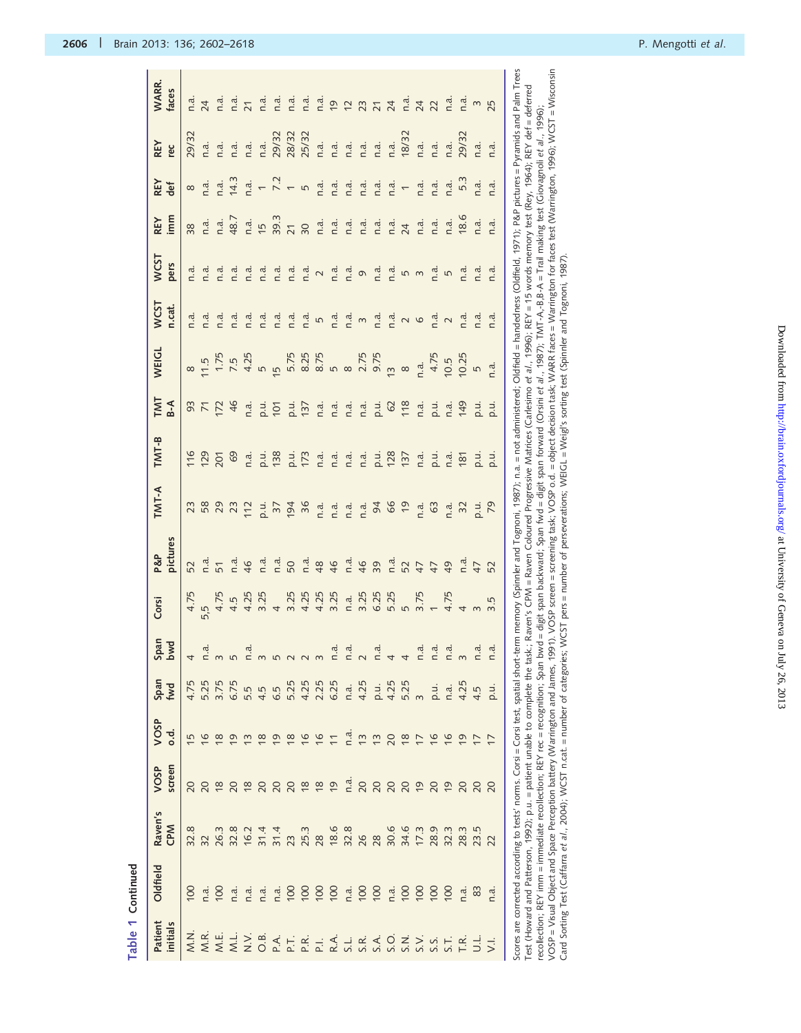| WARR.<br>faces        |                |                |                    |                |                                                                                                                                                                                                                                 |           |                |               |     |                      |     |      |                  |                  |      |                                                                                                                                                                                                                                                                                                                                                                                                                                                                |                                |                                                |                |                                                                                                                                                         | $\mathsf{S}$       | 25             |
|-----------------------|----------------|----------------|--------------------|----------------|---------------------------------------------------------------------------------------------------------------------------------------------------------------------------------------------------------------------------------|-----------|----------------|---------------|-----|----------------------|-----|------|------------------|------------------|------|----------------------------------------------------------------------------------------------------------------------------------------------------------------------------------------------------------------------------------------------------------------------------------------------------------------------------------------------------------------------------------------------------------------------------------------------------------------|--------------------------------|------------------------------------------------|----------------|---------------------------------------------------------------------------------------------------------------------------------------------------------|--------------------|----------------|
| <b>REY</b><br>rec     | 29/32          |                | n a .<br>n .a .    |                |                                                                                                                                                                                                                                 |           |                |               |     |                      |     |      |                  |                  |      | n.a.<br>18/32                                                                                                                                                                                                                                                                                                                                                                                                                                                  |                                | $\begin{array}{cc} a & a \\ c & d \end{array}$ |                | n.a.<br>29/32                                                                                                                                           | 1.d.               | n.a.           |
| REY<br>def            | $\infty$       |                |                    |                | $\frac{a}{c}$ $\frac{a}{d}$ $\frac{a}{d}$ $\frac{a}{d}$ $\frac{a}{d}$ $\frac{a}{d}$ $\frac{a}{d}$ $\frac{a}{d}$ $\frac{a}{d}$ $\frac{a}{d}$ $\frac{a}{d}$                                                                       |           |                |               |     |                      |     |      |                  |                  |      |                                                                                                                                                                                                                                                                                                                                                                                                                                                                |                                | n.a.                                           |                | n.a.<br>5.3                                                                                                                                             | $1.\overline{d}$ . | n.a.           |
| REY<br>imm            | 38             |                |                    |                |                                                                                                                                                                                                                                 |           |                |               |     |                      |     |      |                  |                  |      |                                                                                                                                                                                                                                                                                                                                                                                                                                                                |                                |                                                |                |                                                                                                                                                         | n.a.               | n.a.           |
| <b>WCST</b><br>pers   | n.a.           |                |                    |                | は は は ほ は は ほ 2 ほ ほ 9 ほ ほ 5 3 ほ ほ 5 m ほ は は 2 m は 9 は ほ 5 3 ほ ほ                                                                                                                                                                 |           |                |               |     |                      |     |      |                  |                  |      |                                                                                                                                                                                                                                                                                                                                                                                                                                                                |                                |                                                |                |                                                                                                                                                         |                    | n.a.           |
| <b>WCST</b><br>n.cat. |                |                |                    |                |                                                                                                                                                                                                                                 |           |                |               |     |                      |     |      |                  |                  |      |                                                                                                                                                                                                                                                                                                                                                                                                                                                                |                                |                                                |                | $\begin{array}{ccc}\n\mathbf{a} & \mathbf{c} & \mathbf{c} \\ \mathbf{c} & \mathbf{c} & \mathbf{c} \\ \mathbf{c} & \mathbf{c} & \mathbf{c}\n\end{array}$ |                    | n.a.           |
| <b>WEIGL</b>          |                |                |                    |                |                                                                                                                                                                                                                                 |           |                |               |     |                      |     |      |                  |                  |      |                                                                                                                                                                                                                                                                                                                                                                                                                                                                | n.a.<br>4.75<br>10.5<br>5<br>5 |                                                |                |                                                                                                                                                         |                    | n.a.           |
| TMT<br>B-A            |                |                |                    |                |                                                                                                                                                                                                                                 |           |                |               |     |                      |     |      |                  |                  |      |                                                                                                                                                                                                                                                                                                                                                                                                                                                                |                                |                                                |                |                                                                                                                                                         |                    |                |
| $TMT-B$               |                |                |                    |                | f 2 2 3 2 3 4 5 2 5 2 5 4 5 6 5 6 7 6 7 6 7 6 7 7 8 7 7                                                                                                                                                                         |           |                |               |     |                      |     |      |                  |                  |      |                                                                                                                                                                                                                                                                                                                                                                                                                                                                |                                |                                                |                |                                                                                                                                                         |                    |                |
| TMT-A                 |                |                |                    |                |                                                                                                                                                                                                                                 |           |                |               |     |                      |     |      |                  |                  |      |                                                                                                                                                                                                                                                                                                                                                                                                                                                                |                                |                                                |                |                                                                                                                                                         |                    |                |
| P&P<br>pictures       |                |                |                    |                |                                                                                                                                                                                                                                 |           |                |               |     |                      |     |      |                  |                  |      |                                                                                                                                                                                                                                                                                                                                                                                                                                                                |                                |                                                |                |                                                                                                                                                         |                    |                |
| Corsi                 | 4.75           |                |                    |                |                                                                                                                                                                                                                                 |           |                |               |     |                      |     |      |                  |                  |      |                                                                                                                                                                                                                                                                                                                                                                                                                                                                |                                |                                                |                |                                                                                                                                                         |                    | 3.5            |
| <b>Span</b><br>hwd    |                |                |                    |                | ת הלווד המונח הלווד המונח הלווד המונח המונח המונח המונח המונח המונח המונח המונח המונח המונח המונח המונח המונח<br>המונח המונח המונח המונח המונח המונח המונח המונח המונח המונח המונח המונח המונח המונח המונח המונח המונח המונח המ |           |                |               |     |                      |     |      |                  |                  |      |                                                                                                                                                                                                                                                                                                                                                                                                                                                                |                                |                                                |                |                                                                                                                                                         |                    | n.a.           |
| Span<br>fwd           | 4.75           |                | 5.25<br>3.75       | 6.75<br>5.5    |                                                                                                                                                                                                                                 | 4.5       | 6.5            | 5.25          |     | 4.25<br>2.25<br>6.25 |     | n.a. | 4.25             |                  |      |                                                                                                                                                                                                                                                                                                                                                                                                                                                                |                                | p.u.                                           |                | $\frac{a}{1}$ $\frac{5}{10}$<br>$\frac{1}{2}$                                                                                                           |                    | p.u            |
| VOSP<br>o.d.          | $\overline{5}$ | $\overline{6}$ | $\frac{8}{10}$     | $\overline{6}$ | ്                                                                                                                                                                                                                               | $\approx$ | $\overline{0}$ |               |     | 0.665                |     |      |                  |                  |      | $\begin{array}{c} \mathbf{c} \\ \mathbf{c} \\ \mathbf{c} \\ \mathbf{c} \\ \mathbf{c} \\ \mathbf{c} \\ \mathbf{c} \\ \mathbf{c} \\ \mathbf{c} \\ \mathbf{c} \\ \mathbf{c} \\ \mathbf{c} \\ \mathbf{c} \\ \mathbf{c} \\ \mathbf{c} \\ \mathbf{c} \\ \mathbf{c} \\ \mathbf{c} \\ \mathbf{c} \\ \mathbf{c} \\ \mathbf{c} \\ \mathbf{c} \\ \mathbf{c} \\ \mathbf{c} \\ \mathbf{c} \\ \mathbf{c} \\ \mathbf{c} \\ \mathbf{c} \\ \mathbf{c} \\ \mathbf{c} \\ \mathbf$ |                                | $\frac{9}{7}$                                  | $\frac{9}{7}$  | $\overline{6}$                                                                                                                                          | $\overline{C}$     | $\overline{C}$ |
| screen<br>VOSP        |                |                |                    |                |                                                                                                                                                                                                                                 |           |                |               |     |                      |     | n.d. |                  |                  |      | 8888282888                                                                                                                                                                                                                                                                                                                                                                                                                                                     |                                |                                                |                |                                                                                                                                                         |                    |                |
| Raven's<br>CPM        | 32.8           |                |                    |                |                                                                                                                                                                                                                                 |           |                |               |     |                      |     |      |                  |                  |      |                                                                                                                                                                                                                                                                                                                                                                                                                                                                |                                |                                                |                |                                                                                                                                                         |                    | 22             |
| Oldfield              | $\overline{0}$ |                | $n\ddot{a}$<br>100 | n.a.           | n a.                                                                                                                                                                                                                            | n.a.      |                | $n \cdot a$ . | 100 | 100                  | 100 | n.a. | $\overline{100}$ | $\overline{100}$ | n.a. | $\overline{100}$                                                                                                                                                                                                                                                                                                                                                                                                                                               | $\overline{100}$               | $\overline{5}$                                 | $\overline{5}$ | n.a.                                                                                                                                                    | 83                 | n.a.           |
| Patient<br>initials   | N.N.           | M.R            | M.E.               |                |                                                                                                                                                                                                                                 |           |                |               |     |                      |     |      |                  |                  |      |                                                                                                                                                                                                                                                                                                                                                                                                                                                                |                                |                                                |                |                                                                                                                                                         |                    | $\overline{z}$ |

Scores are corrected according to tests' norms. Corsi – Corsi test, spatial short-term memory (Spinnler and Tognoni, 1987); n.a. = not administered; Oldfield = handedness (Oldfield, 1971); P&P pictures = Pyramids and Palm VOSP = Visual Object and Space Perception battery (Warrington and James, 1991). VOSP screen= screening task; VOSP o.d. = object decision task; WARR faces = Warrington for faces test (Warrington, 1996); WCST = Wisconsin<br>Car Scores are corrected according to tests' norms. Corsi est, spatial short-term memory (Spinnler and [Tognoni,](#page-16-0) 1987); n.a. = not administered; Oldfield = handedness ([Oldfield,](#page-15-0) 1971); P&P pictures = Pyramids and Palm Trees VOSP = Visual Object and Space Perception battery [\(Warrington](#page-16-0) and James, 1991). VOSP screen = screening task; VOSP o.d. = object decision task; WARR faces = Warrington for faces test [\(Warrington,](#page-16-0) 1996); WCST = Wisconsin Test (Howard and [Patterson,](#page-15-0) 1992); p.u. = patient unable to complete the task.; Raven's CPM = Raven Coloured Progressive Matrices ([Carlesimo](#page-15-0) et al., 1996); REY = 15 words memory test [\(Rey,](#page-16-0) 1964); REY def = deferred recollection; REY imm = immediate recollection; REY rec = recognition; Span bwd = digit span fwd = digit span forward (Orsini et a/, 1987); TMT-A,-B.B-A = Trail making test (Giovagnoli et a/, 1996); recollection; REY imm = immediate recollection; REY rec = recognition; Span bwd = digit span backward; Span fwd = digit span forward ([Orsini](#page-16-0) et al., 1987); TMT-A,-B,B-A = Trail making test [\(Giovagnoli](#page-15-0) et al., 1996); Card Sorting Test [\(Caffarra](#page-15-0) et al., 2004); WCST n.cat. = number of categories; WCST pers = number of perseverations; WEIGL = Weigl's sorting test (Spinnler and [Tognoni,](#page-16-0) 1987).

**The Community**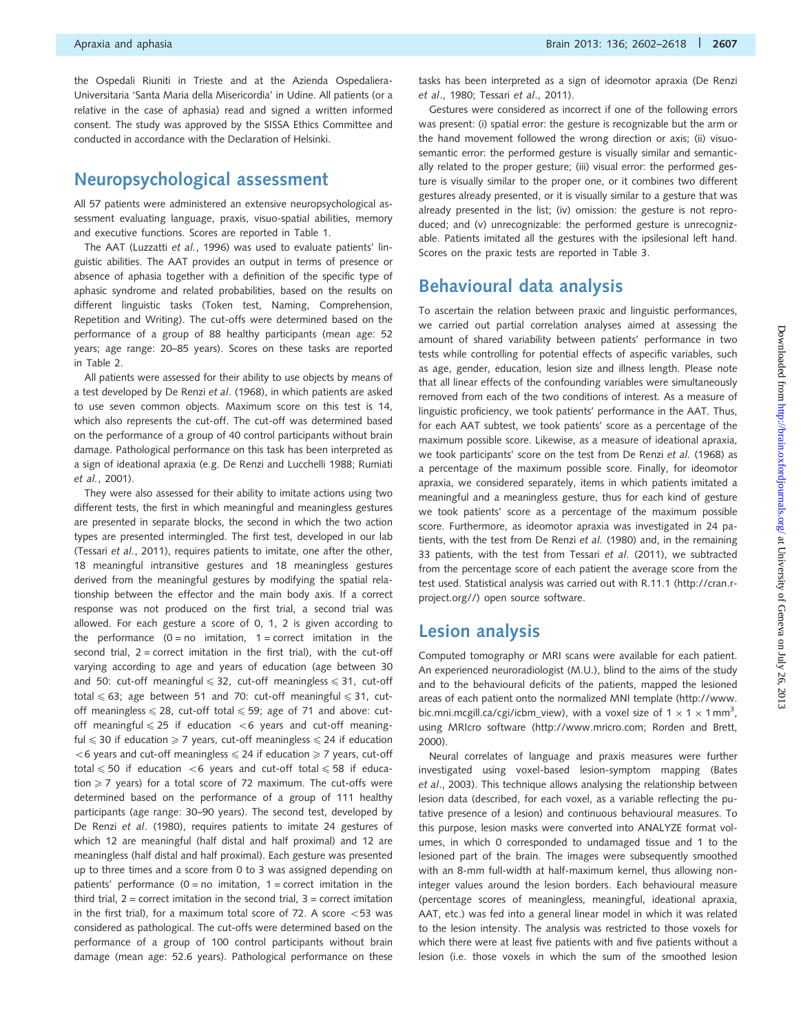the Ospedali Riuniti in Trieste and at the Azienda Ospedaliera-Universitaria 'Santa Maria della Misericordia' in Udine. All patients (or a relative in the case of aphasia) read and signed a written informed consent. The study was approved by the SISSA Ethics Committee and conducted in accordance with the Declaration of Helsinki.

### Neuropsychological assessment

All 57 patients were administered an extensive neuropsychological assessment evaluating language, praxis, visuo-spatial abilities, memory and executive functions. Scores are reported in [Table 1](#page-3-0).

The AAT ([Luzzatti](#page-15-0) et al., 1996) was used to evaluate patients' linguistic abilities. The AAT provides an output in terms of presence or absence of aphasia together with a definition of the specific type of aphasic syndrome and related probabilities, based on the results on different linguistic tasks (Token test, Naming, Comprehension, Repetition and Writing). The cut-offs were determined based on the performance of a group of 88 healthy participants (mean age: 52 years; age range: 20–85 years). Scores on these tasks are reported in [Table 2](#page-6-0).

All patients were assessed for their ability to use objects by means of a test developed by [De Renzi](#page-15-0) et al. (1968), in which patients are asked to use seven common objects. Maximum score on this test is 14, which also represents the cut-off. The cut-off was determined based on the performance of a group of 40 control participants without brain damage. Pathological performance on this task has been interpreted as a sign of ideational apraxia (e.g. [De Renzi and Lucchelli 1988;](#page-15-0) [Rumiati](#page-16-0) et al.[, 2001](#page-16-0)).

They were also assessed for their ability to imitate actions using two different tests, the first in which meaningful and meaningless gestures are presented in separate blocks, the second in which the two action types are presented intermingled. The first test, developed in our lab [\(Tessari](#page-16-0) et al., 2011), requires patients to imitate, one after the other, 18 meaningful intransitive gestures and 18 meaningless gestures derived from the meaningful gestures by modifying the spatial relationship between the effector and the main body axis. If a correct response was not produced on the first trial, a second trial was allowed. For each gesture a score of 0, 1, 2 is given according to the performance  $(0 = no$  imitation,  $1 = correct$  imitation in the second trial,  $2 =$  correct imitation in the first trial), with the cut-off varying according to age and years of education (age between 30 and 50: cut-off meaningful  $\leq$  32, cut-off meaningless  $\leq$  31, cut-off total  $\leq 63$ ; age between 51 and 70: cut-off meaningful  $\leq 31$ , cutoff meaningless  $\leq 28$ , cut-off total  $\leq 59$ ; age of 71 and above: cutoff meaningful  $\leq 25$  if education  $< 6$  years and cut-off meaningful  $\leq$  30 if education  $\geq$  7 years, cut-off meaningless  $\leq$  24 if education  $56$  years and cut-off meaningless  $\leq 24$  if education  $\geq 7$  years, cut-off total  $\leq 50$  if education  $<$  6 years and cut-off total  $\leq 58$  if education  $\geq$  7 years) for a total score of 72 maximum. The cut-offs were determined based on the performance of a group of 111 healthy participants (age range: 30–90 years). The second test, developed by [De Renzi](#page-15-0) et al. (1980), requires patients to imitate 24 gestures of which 12 are meaningful (half distal and half proximal) and 12 are meaningless (half distal and half proximal). Each gesture was presented up to three times and a score from 0 to 3 was assigned depending on patients' performance  $(0 = no$  imitation,  $1 = correct$  imitation in the third trial,  $2 =$  correct imitation in the second trial,  $3 =$  correct imitation in the first trial), for a maximum total score of 72. A score  $<$  53 was considered as pathological. The cut-offs were determined based on the performance of a group of 100 control participants without brain damage (mean age: 52.6 years). Pathological performance on these

tasks has been interpreted as a sign of ideomotor apraxia ([De Renzi](#page-15-0) et al[., 1980;](#page-15-0) Tessari et al[., 2011\)](#page-16-0).

Gestures were considered as incorrect if one of the following errors was present: (i) spatial error: the gesture is recognizable but the arm or the hand movement followed the wrong direction or axis; (ii) visuosemantic error: the performed gesture is visually similar and semantically related to the proper gesture; (iii) visual error: the performed gesture is visually similar to the proper one, or it combines two different gestures already presented, or it is visually similar to a gesture that was already presented in the list; (iv) omission: the gesture is not reproduced; and (v) unrecognizable: the performed gesture is unrecognizable. Patients imitated all the gestures with the ipsilesional left hand. Scores on the praxic tests are reported in [Table 3](#page-7-0).

## Behavioural data analysis

To ascertain the relation between praxic and linguistic performances, we carried out partial correlation analyses aimed at assessing the amount of shared variability between patients' performance in two tests while controlling for potential effects of aspecific variables, such as age, gender, education, lesion size and illness length. Please note that all linear effects of the confounding variables were simultaneously removed from each of the two conditions of interest. As a measure of linguistic proficiency, we took patients' performance in the AAT. Thus, for each AAT subtest, we took patients' score as a percentage of the maximum possible score. Likewise, as a measure of ideational apraxia, we took participants' score on the test from [De Renzi](#page-15-0) et al. (1968) as a percentage of the maximum possible score. Finally, for ideomotor apraxia, we considered separately, items in which patients imitated a meaningful and a meaningless gesture, thus for each kind of gesture we took patients' score as a percentage of the maximum possible score. Furthermore, as ideomotor apraxia was investigated in 24 patients, with the test from [De Renzi](#page-15-0) et al. (1980) and, in the remaining 33 patients, with the test from Tessari et al. [\(2011\),](#page-16-0) we subtracted from the percentage score of each patient the average score from the test used. Statistical analysis was carried out with R.11.1 [\(http://cran.r](http://cran.r-project.org//)[project.org//\)](http://cran.r-project.org//) open source software.

## Lesion analysis

Computed tomography or MRI scans were available for each patient. An experienced neuroradiologist (M.U.), blind to the aims of the study and to the behavioural deficits of the patients, mapped the lesioned areas of each patient onto the normalized MNI template [\(http://www.](http://www.bic.mni.mcgill.ca/cgi/icbm_view) [bic.mni.mcgill.ca/cgi/icbm\\_view](http://www.bic.mni.mcgill.ca/cgi/icbm_view)), with a voxel size of  $1 \times 1 \times 1$  mm<sup>3</sup>, using MRIcro software ([http://www.mricro.com;](http://www.mricro.com) [Rorden and Brett,](#page-16-0) [2000](#page-16-0)).

Neural correlates of language and praxis measures were further investigated using voxel-based lesion-symptom mapping [\(Bates](#page-15-0) et al[., 2003\)](#page-15-0). This technique allows analysing the relationship between lesion data (described, for each voxel, as a variable reflecting the putative presence of a lesion) and continuous behavioural measures. To this purpose, lesion masks were converted into ANALYZE format volumes, in which 0 corresponded to undamaged tissue and 1 to the lesioned part of the brain. The images were subsequently smoothed with an 8-mm full-width at half-maximum kernel, thus allowing noninteger values around the lesion borders. Each behavioural measure (percentage scores of meaningless, meaningful, ideational apraxia, AAT, etc.) was fed into a general linear model in which it was related to the lesion intensity. The analysis was restricted to those voxels for which there were at least five patients with and five patients without a lesion (i.e. those voxels in which the sum of the smoothed lesion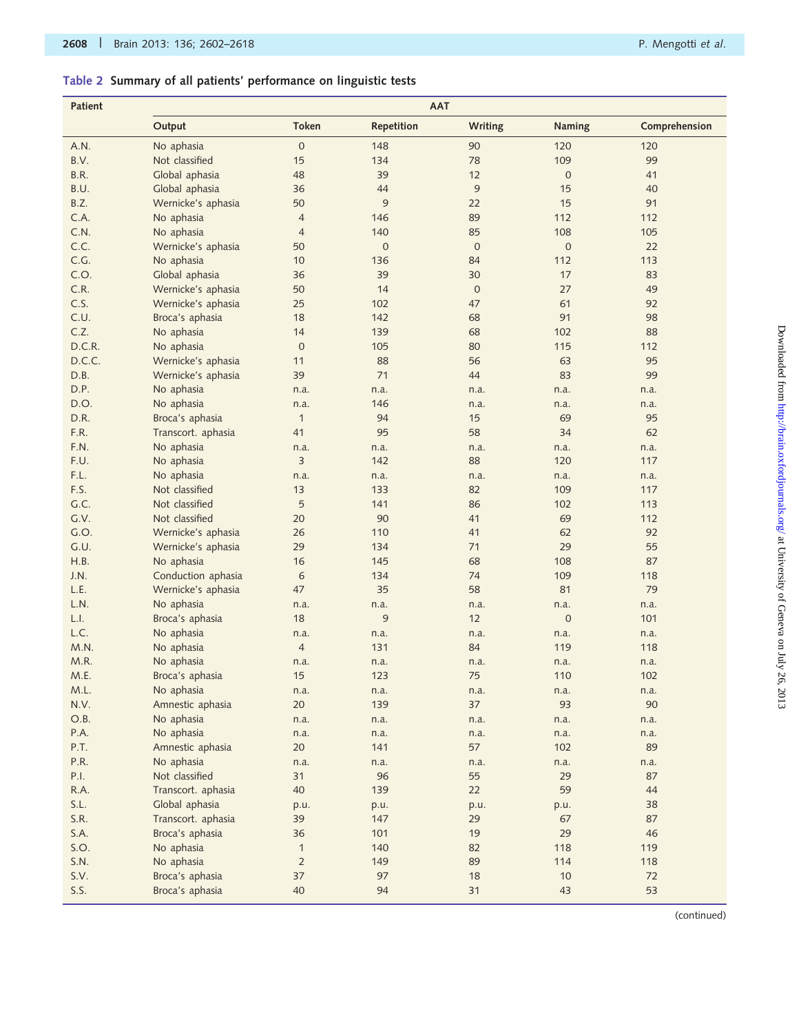## <span id="page-6-0"></span>Table 2 Summary of all patients' performance on linguistic tests

| Patient      | <b>AAT</b>                           |                    |                  |                  |             |               |  |  |  |  |  |
|--------------|--------------------------------------|--------------------|------------------|------------------|-------------|---------------|--|--|--|--|--|
|              | Output                               | <b>Token</b>       | Repetition       | <b>Writing</b>   | Naming      | Comprehension |  |  |  |  |  |
| A.N.         | No aphasia                           | $\mathbf 0$        | 148              | 90               | 120         | 120           |  |  |  |  |  |
| B.V.         | Not classified                       | 15                 | 134              | 78               | 109         | 99            |  |  |  |  |  |
| B.R.         | Global aphasia                       | 48                 | 39               | 12               | $\mathbf 0$ | 41            |  |  |  |  |  |
| B.U.         | Global aphasia                       | 36                 | 44               | 9                | 15          | 40            |  |  |  |  |  |
| B.Z.         | Wernicke's aphasia                   | 50                 | 9                | 22               | 15          | 91            |  |  |  |  |  |
| C.A.         | No aphasia                           | $\overline{4}$     | 146              | 89               | 112         | 112           |  |  |  |  |  |
| C.N.         | No aphasia                           | $\overline{4}$     | 140              | 85               | 108         | 105           |  |  |  |  |  |
| C.C.         | Wernicke's aphasia                   | 50                 | $\boldsymbol{0}$ | $\boldsymbol{0}$ | $\mathbf 0$ | 22            |  |  |  |  |  |
| C.G.         | No aphasia                           | 10                 | 136              | 84               | 112         | 113           |  |  |  |  |  |
| C.O.         | Global aphasia                       | 36                 | 39               | 30               | 17          | 83            |  |  |  |  |  |
| C.R.         | Wernicke's aphasia                   | 50                 | 14               | $\boldsymbol{0}$ | 27          | 49            |  |  |  |  |  |
| C.S.         | Wernicke's aphasia                   | 25                 | 102              | 47               | 61          | 92            |  |  |  |  |  |
| C.U.         | Broca's aphasia                      | 18                 | 142              | 68               | 91          | 98            |  |  |  |  |  |
| C.Z.         | No aphasia                           | 14                 | 139              | 68               | 102         | 88            |  |  |  |  |  |
| D.C.R.       | No aphasia                           | $\mathbf{0}$       | 105              | 80               | 115         | 112           |  |  |  |  |  |
| D.C.C.       | Wernicke's aphasia                   | 11                 | 88               | 56               | 63          | 95            |  |  |  |  |  |
| D.B.         | Wernicke's aphasia                   | 39                 | 71               | 44               | 83          | 99            |  |  |  |  |  |
| D.P.         | No aphasia                           | n.a.               | n.a.             | n.a.             | n.a.        | n.a.          |  |  |  |  |  |
| D.O.         | No aphasia                           | n.a.               | 146              | n.a.             | n.a.        | n.a.          |  |  |  |  |  |
| D.R.         | Broca's aphasia                      | $\mathbf{1}$       | 94               | 15               | 69          | 95            |  |  |  |  |  |
| F.R.         | Transcort. aphasia                   | 41                 | 95               | 58               | 34          | 62            |  |  |  |  |  |
| F.N.         | No aphasia                           | n.a.               | n.a.             | n.a.             | n.a.        | n.a.          |  |  |  |  |  |
| F.U.         | No aphasia                           | $\overline{3}$     | 142              | 88               | 120         | 117           |  |  |  |  |  |
| F.L.         | No aphasia                           | n.a.               | n.a.             | n.a.             | n.a.        | n.a.          |  |  |  |  |  |
| F.S.         | Not classified                       | 13                 | 133              | 82               | 109         | 117           |  |  |  |  |  |
| G.C.         | Not classified                       | 5                  | 141              | 86               | 102         | 113           |  |  |  |  |  |
| G.V.         | Not classified                       | 20                 | 90               | 41               | 69          | 112           |  |  |  |  |  |
| G.O.         | Wernicke's aphasia                   | 26                 | 110              | 41               | 62          | 92            |  |  |  |  |  |
| G.U.         | Wernicke's aphasia                   | 29                 | 134              | 71               | 29          | 55            |  |  |  |  |  |
| H.B.         | No aphasia                           | 16                 | 145              | 68               | 108         | 87            |  |  |  |  |  |
| J.N.         | Conduction aphasia                   | $\epsilon$         | 134              | 74               | 109         | 118           |  |  |  |  |  |
| L.E.         | Wernicke's aphasia                   | 47                 | 35               | 58               | 81          | 79            |  |  |  |  |  |
| L.N.         | No aphasia                           | n.a.               | n.a.             | n.a.             | n.a.        | n.a.          |  |  |  |  |  |
| L.I.         | Broca's aphasia                      | 18                 | 9                | 12               | $\mathbf 0$ | 101           |  |  |  |  |  |
| L.C.         | No aphasia                           | n.a.               | n.a.             | n.a.             | n.a.        | n.a.          |  |  |  |  |  |
| M.N.         | No aphasia                           | $\overline{4}$     | 131              | 84               | 119         | 118           |  |  |  |  |  |
| M.R.         | No aphasia                           | n.a.               | n.a.             | n.a.             | n.a.        | n.a.          |  |  |  |  |  |
| M.E.         | Broca's aphasia                      | 15                 | 123              | 75               | 110         | 102           |  |  |  |  |  |
| M.L.         | No aphasia                           | n.a.               | n.a.             | n.a.             | n.a.        | n.a.          |  |  |  |  |  |
| N.V.         | Amnestic aphasia                     | 20                 | 139              | 37               | 93          | 90            |  |  |  |  |  |
| O.B.         | No aphasia                           | n.a.               | n.a.             | n.a.             | n.a.        | n.a.          |  |  |  |  |  |
| P.A.         | No aphasia                           | n.a.               | n.a.             | n.a.             | n.a.        | n.a.          |  |  |  |  |  |
| P.T.         | Amnestic aphasia                     | 20                 | 141              | 57               | 102         | 89            |  |  |  |  |  |
| P.R.         | No aphasia                           | n.a.               | n.a.             | n.a.             | n.a.        | n.a.          |  |  |  |  |  |
| P.I.         | Not classified<br>Transcort. aphasia | 31                 | 96               | 55               | 29          | 87            |  |  |  |  |  |
| R.A.         |                                      | 40                 | 139              | 22               | 59          | 44            |  |  |  |  |  |
| S.L.<br>S.R. | Global aphasia<br>Transcort. aphasia | p.u.<br>39         | p.u.<br>147      | p.u.<br>29       | p.u.<br>67  | 38<br>87      |  |  |  |  |  |
|              |                                      |                    |                  |                  |             |               |  |  |  |  |  |
| S.A.<br>S.O. | Broca's aphasia                      | 36<br>$\mathbf{1}$ | 101<br>140       | 19<br>82         | 29<br>118   | 46<br>119     |  |  |  |  |  |
| S.N.         | No aphasia                           | $\overline{2}$     | 149              | 89               | 114         | 118           |  |  |  |  |  |
| S.V.         | No aphasia                           | 37                 | 97               | 18               | 10          | 72            |  |  |  |  |  |
|              | Broca's aphasia                      |                    |                  |                  |             |               |  |  |  |  |  |
| S.S.         | Broca's aphasia                      | 40                 | 94               | 31               | 43          | 53            |  |  |  |  |  |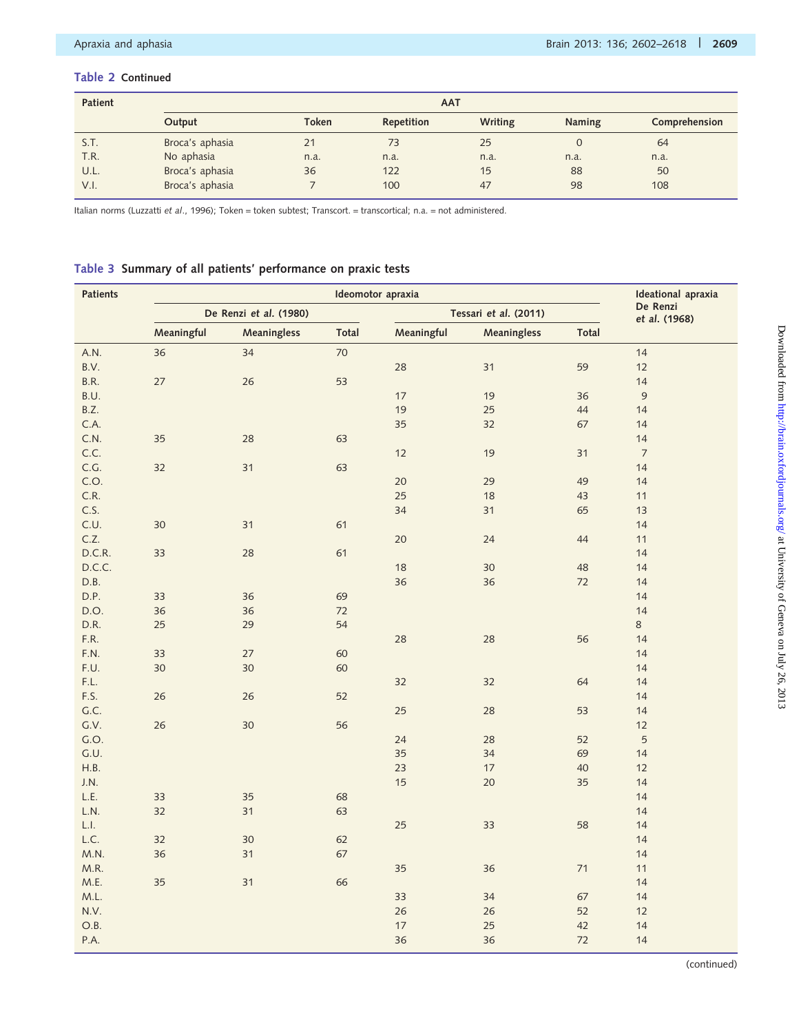#### <span id="page-7-0"></span>Table 2 Continued

| <b>Patient</b> | <b>AAT</b>      |              |            |         |               |               |  |  |  |  |  |  |
|----------------|-----------------|--------------|------------|---------|---------------|---------------|--|--|--|--|--|--|
|                | Output          | <b>Token</b> | Repetition | Writing | <b>Naming</b> | Comprehension |  |  |  |  |  |  |
| S.T.           | Broca's aphasia | 21           | 73         | 25      |               | 64            |  |  |  |  |  |  |
| T.R.           | No aphasia      | n.a.         | n.a.       | n.a.    | n.a.          | n.a.          |  |  |  |  |  |  |
| U.L.           | Broca's aphasia | 36           | 122        | 15      | 88            | 50            |  |  |  |  |  |  |
| V.I.           | Broca's aphasia |              | 100        | 47      | 98            | 108           |  |  |  |  |  |  |

Italian norms [\(Luzzatti](#page-15-0) et al., 1996); Token = token subtest; Transcort. = transcortical; n.a. = not administered.

#### Table 3 Summary of all patients' performance on praxic tests

| <b>Patients</b> |            |                        | Ideational apraxia |            |                       |       |                           |
|-----------------|------------|------------------------|--------------------|------------|-----------------------|-------|---------------------------|
|                 |            | De Renzi et al. (1980) |                    |            | Tessari et al. (2011) |       | De Renzi<br>et al. (1968) |
|                 | Meaningful | Meaningless            | Total              | Meaningful | Meaningless           | Total |                           |
| A.N.            | 36         | 34                     | 70                 |            |                       |       | 14                        |
| B.V.            |            |                        |                    | 28         | 31                    | 59    | 12                        |
| B.R.            | $27\,$     | 26                     | 53                 |            |                       |       | 14                        |
| B.U.            |            |                        |                    | $17$       | 19                    | 36    | $\overline{9}$            |
| B.Z.            |            |                        |                    | 19         | 25                    | 44    | 14                        |
| C.A.            |            |                        |                    | 35         | 32                    | 67    | 14                        |
| C.N.            | 35         | 28                     | 63                 |            |                       |       | 14                        |
| C.C.            |            |                        |                    | 12         | 19                    | 31    | $\overline{7}$            |
| C.G.            | 32         | 31                     | 63                 |            |                       |       | 14                        |
| C.O.            |            |                        |                    | 20         | 29                    | 49    | 14                        |
| C.R.            |            |                        |                    | 25         | 18                    | 43    | 11                        |
| C.S.            |            |                        |                    | 34         | 31                    | 65    | 13                        |
| C.U.            | 30         | 31                     | 61                 |            |                       |       | 14                        |
| C.Z.            |            |                        |                    | 20         | 24                    | 44    | 11                        |
| D.C.R.          | 33         | 28                     | 61                 |            |                       |       | 14                        |
| D.C.C.          |            |                        |                    | 18         | 30 <sub>o</sub>       | 48    | 14                        |
| D.B.            |            |                        |                    | 36         | 36                    | 72    | 14                        |
| D.P.            | 33         | 36                     | 69                 |            |                       |       | 14                        |
| D.O.            | 36         | 36                     | $72\,$             |            |                       |       | 14                        |
| D.R.            | 25         | 29                     | 54                 |            |                       |       | 8                         |
| F.R.            |            |                        |                    | 28         | 28                    | 56    | 14                        |
| F.N.            | 33         | 27                     | 60                 |            |                       |       | 14                        |
| F.U.            | 30         | 30                     | 60                 |            |                       |       | 14                        |
| F.L.            |            |                        |                    | 32         | 32                    | 64    | 14                        |
| F.S.            | 26         | 26                     | 52                 |            |                       |       | 14                        |
| G.C.            |            |                        |                    | 25         | 28                    | 53    | 14                        |
| G.V.            | 26         | 30                     | 56                 |            |                       |       | 12                        |
| G.O.            |            |                        |                    | 24         | 28                    | 52    | $\overline{5}$            |
| G.U.            |            |                        |                    | 35         | 34                    | 69    | 14                        |
| H.B.            |            |                        |                    | 23         | 17                    | 40    | 12                        |
| J.N.            |            |                        |                    | 15         | 20                    | 35    | 14                        |
| L.E.            | 33         | 35                     | 68                 |            |                       |       | 14                        |
| L.N.            | 32         | 31                     | 63                 |            |                       |       | 14                        |
| L.I.            |            |                        |                    | 25         | 33                    | 58    | 14                        |
| L.C.            | 32         | 30                     | 62                 |            |                       |       | 14                        |
| M.N.            | 36         | 31                     | 67                 |            |                       |       | 14                        |
| M.R.            |            |                        |                    | 35         | 36                    | $71$  | 11                        |
| M.E.            | 35         | 31                     | 66                 |            |                       |       | 14                        |
| M.L.            |            |                        |                    | 33         | 34                    | 67    | 14                        |
| N.V.            |            |                        |                    | 26         | 26                    | 52    | 12                        |
| O.B.            |            |                        |                    | 17         | 25                    | 42    | 14                        |
| P.A.            |            |                        |                    | 36         | 36                    | 72    | 14                        |

(continued)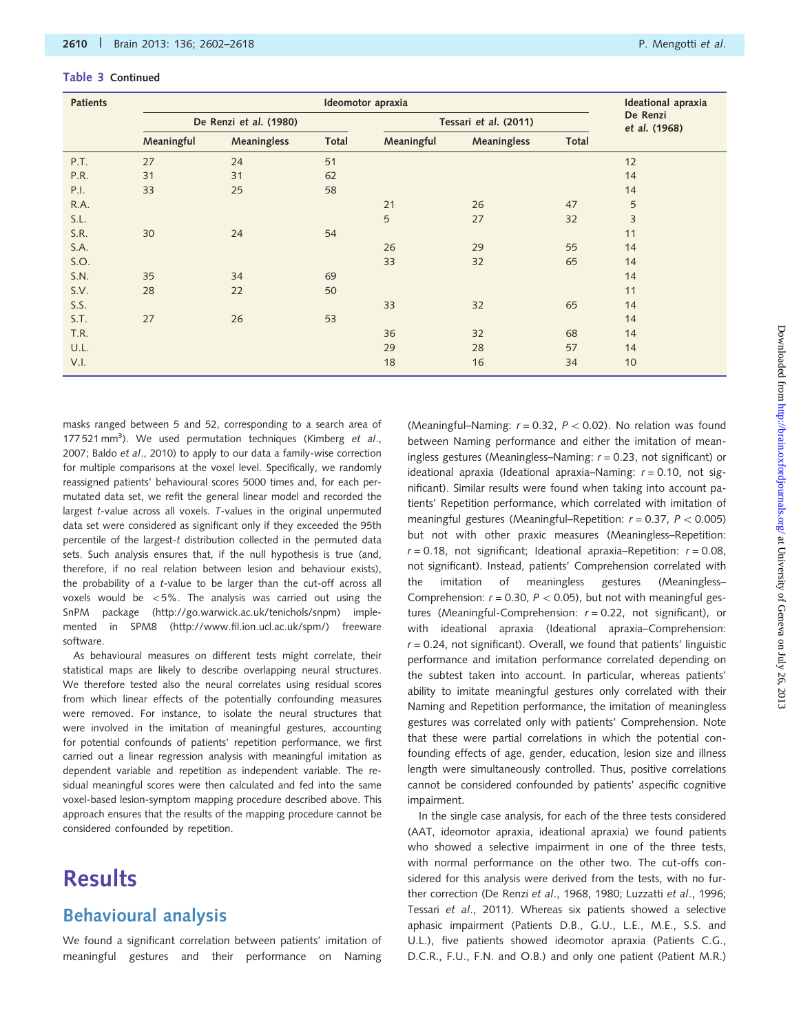| Table 3 Continued |  |
|-------------------|--|
|-------------------|--|

| <b>Patients</b> |            |                        | <b>Ideational</b> apraxia |            |                       |       |                           |
|-----------------|------------|------------------------|---------------------------|------------|-----------------------|-------|---------------------------|
|                 |            | De Renzi et al. (1980) |                           |            | Tessari et al. (2011) |       | De Renzi<br>et al. (1968) |
|                 | Meaningful | Meaningless            | Total                     | Meaningful | Meaningless           | Total |                           |
| P.T.            | 27         | 24                     | 51                        |            |                       |       | 12                        |
| P.R.            | 31         | 31                     | 62                        |            |                       |       | 14                        |
| P.I.            | 33         | 25                     | 58                        |            |                       |       | 14                        |
| R.A.            |            |                        |                           | 21         | 26                    | 47    | 5                         |
| S.L.            |            |                        |                           | 5          | 27                    | 32    | 3                         |
| S.R.            | 30         | 24                     | 54                        |            |                       |       | 11                        |
| S.A.            |            |                        |                           | 26         | 29                    | 55    | 14                        |
| S.O.            |            |                        |                           | 33         | 32                    | 65    | 14                        |
| S.N.            | 35         | 34                     | 69                        |            |                       |       | 14                        |
| S.V.            | 28         | 22                     | 50                        |            |                       |       | 11                        |
| S.S.            |            |                        |                           | 33         | 32                    | 65    | 14                        |
| S.T.            | 27         | 26                     | 53                        |            |                       |       | 14                        |
| T.R.            |            |                        |                           | 36         | 32                    | 68    | 14                        |
| U.L.            |            |                        |                           | 29         | 28                    | 57    | 14                        |
| V.I.            |            |                        |                           | 18         | 16                    | 34    | 10                        |

masks ranged between 5 and 52, corresponding to a search area of 177 521 mm<sup>3</sup>). We used permutation techniques [\(Kimberg](#page-15-0) et al., [2007;](#page-15-0) Baldo et al[., 2010](#page-15-0)) to apply to our data a family-wise correction for multiple comparisons at the voxel level. Specifically, we randomly reassigned patients' behavioural scores 5000 times and, for each permutated data set, we refit the general linear model and recorded the largest t-value across all voxels. T-values in the original unpermuted data set were considered as significant only if they exceeded the 95th percentile of the largest-t distribution collected in the permuted data sets. Such analysis ensures that, if the null hypothesis is true (and, therefore, if no real relation between lesion and behaviour exists), the probability of a t-value to be larger than the cut-off across all voxels would be  $<5\%$ . The analysis was carried out using the SnPM package [\(http://go.warwick.ac.uk/tenichols/snpm\)](http://go.warwick.ac.uk/tenichols/snpm) implemented in SPM8 ([http://www.fil.ion.ucl.ac.uk/spm/\)](http://www.fil.ion.ucl.ac.uk/spm/) freeware software.

As behavioural measures on different tests might correlate, their statistical maps are likely to describe overlapping neural structures. We therefore tested also the neural correlates using residual scores from which linear effects of the potentially confounding measures were removed. For instance, to isolate the neural structures that were involved in the imitation of meaningful gestures, accounting for potential confounds of patients' repetition performance, we first carried out a linear regression analysis with meaningful imitation as dependent variable and repetition as independent variable. The residual meaningful scores were then calculated and fed into the same voxel-based lesion-symptom mapping procedure described above. This approach ensures that the results of the mapping procedure cannot be considered confounded by repetition.

# **Results**

## Behavioural analysis

We found a significant correlation between patients' imitation of meaningful gestures and their performance on Naming

(Meaningful–Naming:  $r = 0.32$ ,  $P < 0.02$ ). No relation was found between Naming performance and either the imitation of meaningless gestures (Meaningless–Naming:  $r = 0.23$ , not significant) or ideational apraxia (Ideational apraxia–Naming:  $r = 0.10$ , not significant). Similar results were found when taking into account patients' Repetition performance, which correlated with imitation of meaningful gestures (Meaningful–Repetition:  $r = 0.37$ ,  $P < 0.005$ ) but not with other praxic measures (Meaningless–Repetition:  $r = 0.18$ , not significant; Ideational apraxia–Repetition:  $r = 0.08$ , not significant). Instead, patients' Comprehension correlated with the imitation of meaningless gestures (Meaningless– Comprehension:  $r = 0.30$ ,  $P < 0.05$ ), but not with meaningful gestures (Meaningful-Comprehension:  $r = 0.22$ , not significant), or with ideational apraxia (Ideational apraxia–Comprehension:  $r = 0.24$ , not significant). Overall, we found that patients' linguistic performance and imitation performance correlated depending on the subtest taken into account. In particular, whereas patients' ability to imitate meaningful gestures only correlated with their Naming and Repetition performance, the imitation of meaningless gestures was correlated only with patients' Comprehension. Note that these were partial correlations in which the potential confounding effects of age, gender, education, lesion size and illness length were simultaneously controlled. Thus, positive correlations cannot be considered confounded by patients' aspecific cognitive impairment.

In the single case analysis, for each of the three tests considered (AAT, ideomotor apraxia, ideational apraxia) we found patients who showed a selective impairment in one of the three tests, with normal performance on the other two. The cut-offs considered for this analysis were derived from the tests, with no fur-ther correction [\(De Renzi](#page-15-0) et al., 1968, [1980](#page-15-0); [Luzzatti](#page-15-0) et al., 1996; Tessari et al[., 2011](#page-16-0)). Whereas six patients showed a selective aphasic impairment (Patients D.B., G.U., L.E., M.E., S.S. and U.L.), five patients showed ideomotor apraxia (Patients C.G., D.C.R., F.U., F.N. and O.B.) and only one patient (Patient M.R.)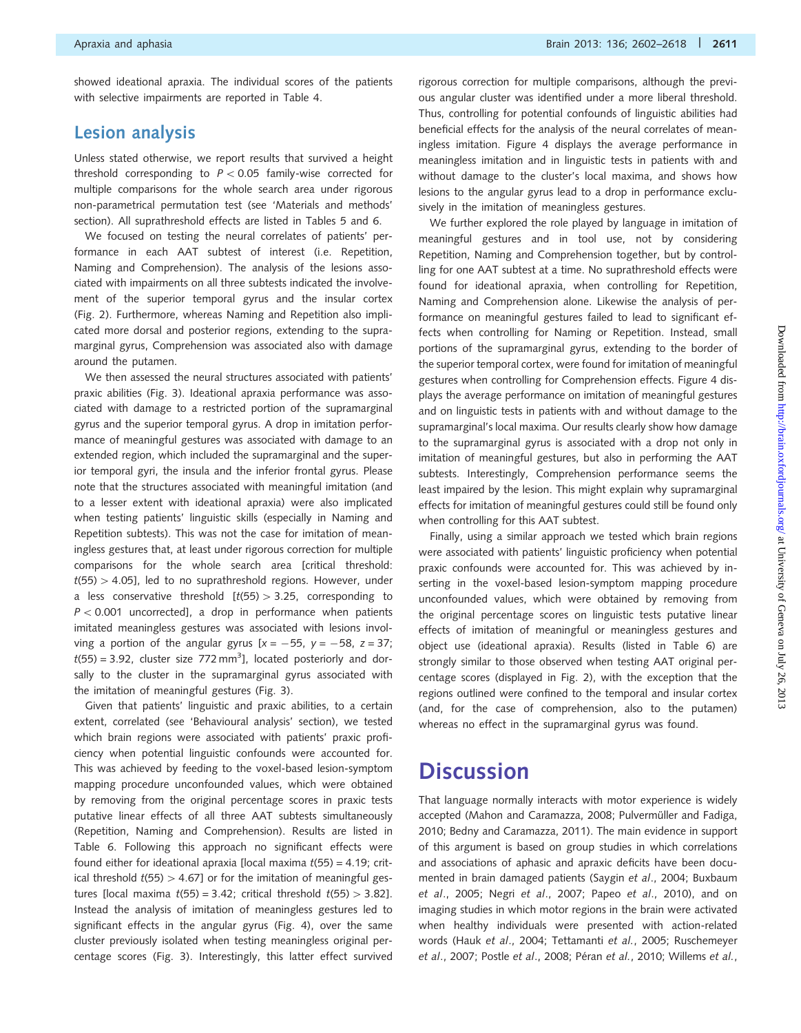showed ideational apraxia. The individual scores of the patients with selective impairments are reported in [Table 4.](#page-10-0)

### Lesion analysis

Unless stated otherwise, we report results that survived a height threshold corresponding to  $P < 0.05$  family-wise corrected for multiple comparisons for the whole search area under rigorous non-parametrical permutation test (see 'Materials and methods' section). All suprathreshold effects are listed in [Tables 5](#page-10-0) and [6](#page-11-0).

We focused on testing the neural correlates of patients' performance in each AAT subtest of interest (i.e. Repetition, Naming and Comprehension). The analysis of the lesions associated with impairments on all three subtests indicated the involvement of the superior temporal gyrus and the insular cortex ([Fig. 2\)](#page-12-0). Furthermore, whereas Naming and Repetition also implicated more dorsal and posterior regions, extending to the supramarginal gyrus, Comprehension was associated also with damage around the putamen.

We then assessed the neural structures associated with patients' praxic abilities [\(Fig. 3](#page-13-0)). Ideational apraxia performance was associated with damage to a restricted portion of the supramarginal gyrus and the superior temporal gyrus. A drop in imitation performance of meaningful gestures was associated with damage to an extended region, which included the supramarginal and the superior temporal gyri, the insula and the inferior frontal gyrus. Please note that the structures associated with meaningful imitation (and to a lesser extent with ideational apraxia) were also implicated when testing patients' linguistic skills (especially in Naming and Repetition subtests). This was not the case for imitation of meaningless gestures that, at least under rigorous correction for multiple comparisons for the whole search area [critical threshold:  $t(55)$  > 4.05], led to no suprathreshold regions. However, under a less conservative threshold  $[t(55) > 3.25$ , corresponding to  $P < 0.001$  uncorrected], a drop in performance when patients imitated meaningless gestures was associated with lesions involving a portion of the angular gyrus  $[x = -55, y = -58, z = 37;$  $t(55) = 3.92$ , cluster size 772 mm<sup>3</sup>], located posteriorly and dorsally to the cluster in the supramarginal gyrus associated with the imitation of meaningful gestures [\(Fig. 3](#page-13-0)).

Given that patients' linguistic and praxic abilities, to a certain extent, correlated (see 'Behavioural analysis' section), we tested which brain regions were associated with patients' praxic proficiency when potential linguistic confounds were accounted for. This was achieved by feeding to the voxel-based lesion-symptom mapping procedure unconfounded values, which were obtained by removing from the original percentage scores in praxic tests putative linear effects of all three AAT subtests simultaneously (Repetition, Naming and Comprehension). Results are listed in [Table 6](#page-11-0). Following this approach no significant effects were found either for ideational apraxia [local maxima  $t(55) = 4.19$ ; critical threshold  $t(55) > 4.67$ ] or for the imitation of meaningful gestures [local maxima  $t(55) = 3.42$ ; critical threshold  $t(55) > 3.82$ ]. Instead the analysis of imitation of meaningless gestures led to significant effects in the angular gyrus ([Fig. 4](#page-14-0)), over the same cluster previously isolated when testing meaningless original percentage scores ([Fig. 3](#page-13-0)). Interestingly, this latter effect survived

rigorous correction for multiple comparisons, although the previous angular cluster was identified under a more liberal threshold. Thus, controlling for potential confounds of linguistic abilities had beneficial effects for the analysis of the neural correlates of meaningless imitation. [Figure 4](#page-14-0) displays the average performance in meaningless imitation and in linguistic tests in patients with and without damage to the cluster's local maxima, and shows how lesions to the angular gyrus lead to a drop in performance exclusively in the imitation of meaningless gestures.

We further explored the role played by language in imitation of meaningful gestures and in tool use, not by considering Repetition, Naming and Comprehension together, but by controlling for one AAT subtest at a time. No suprathreshold effects were found for ideational apraxia, when controlling for Repetition, Naming and Comprehension alone. Likewise the analysis of performance on meaningful gestures failed to lead to significant effects when controlling for Naming or Repetition. Instead, small portions of the supramarginal gyrus, extending to the border of the superior temporal cortex, were found for imitation of meaningful gestures when controlling for Comprehension effects. [Figure 4](#page-14-0) displays the average performance on imitation of meaningful gestures and on linguistic tests in patients with and without damage to the supramarginal's local maxima. Our results clearly show how damage to the supramarginal gyrus is associated with a drop not only in imitation of meaningful gestures, but also in performing the AAT subtests. Interestingly, Comprehension performance seems the least impaired by the lesion. This might explain why supramarginal effects for imitation of meaningful gestures could still be found only when controlling for this AAT subtest.

Finally, using a similar approach we tested which brain regions were associated with patients' linguistic proficiency when potential praxic confounds were accounted for. This was achieved by inserting in the voxel-based lesion-symptom mapping procedure unconfounded values, which were obtained by removing from the original percentage scores on linguistic tests putative linear effects of imitation of meaningful or meaningless gestures and object use (ideational apraxia). Results (listed in [Table 6](#page-11-0)) are strongly similar to those observed when testing AAT original percentage scores (displayed in [Fig. 2](#page-12-0)), with the exception that the regions outlined were confined to the temporal and insular cortex (and, for the case of comprehension, also to the putamen) whereas no effect in the supramarginal gyrus was found.

# **Discussion**

That language normally interacts with motor experience is widely accepted ([Mahon and Caramazza, 2008;](#page-15-0) Pulvermüller and Fadiga, [2010](#page-16-0); [Bedny and Caramazza, 2011](#page-15-0)). The main evidence in support of this argument is based on group studies in which correlations and associations of aphasic and apraxic deficits have been documented in brain damaged patients (Saygin et al[., 2004;](#page-16-0) [Buxbaum](#page-15-0) et al[., 2005](#page-15-0); Negri et al[., 2007;](#page-15-0) Papeo et al[., 2010\)](#page-16-0), and on imaging studies in which motor regions in the brain were activated when healthy individuals were presented with action-related words (Hauk et al[., 2004](#page-15-0); [Tettamanti](#page-16-0) et al., 2005; [Ruschemeyer](#page-16-0) et al[., 2007](#page-16-0); Postle et al[., 2008](#page-16-0); Péran et al.[, 2010; Willems](#page-16-0) et al.,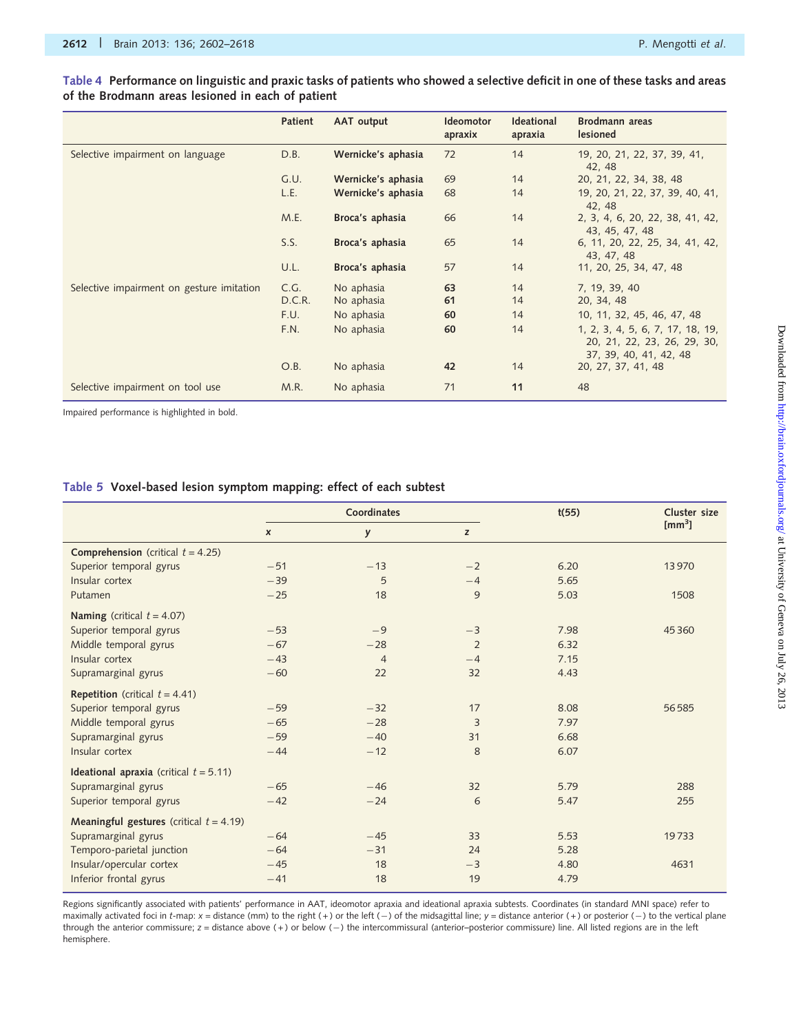#### <span id="page-10-0"></span>Table 4 Performance on linguistic and praxic tasks of patients who showed a selective deficit in one of these tasks and areas of the Brodmann areas lesioned in each of patient

|                                           | Patient | AAT output         | <b>Ideomotor</b><br>apraxix | <b>Ideational</b><br>apraxia | Brodmann areas<br>lesioned                                                                |
|-------------------------------------------|---------|--------------------|-----------------------------|------------------------------|-------------------------------------------------------------------------------------------|
| Selective impairment on language          | D.B.    | Wernicke's aphasia | 72                          | 14                           | 19, 20, 21, 22, 37, 39, 41,<br>42, 48                                                     |
|                                           | G.U.    | Wernicke's aphasia | 69                          | 14                           | 20, 21, 22, 34, 38, 48                                                                    |
|                                           | L.E.    | Wernicke's aphasia | 68                          | 14                           | 19, 20, 21, 22, 37, 39, 40, 41,<br>42, 48                                                 |
|                                           | M.E.    | Broca's aphasia    | 66                          | 14                           | 2, 3, 4, 6, 20, 22, 38, 41, 42,<br>43, 45, 47, 48                                         |
|                                           | S.S.    | Broca's aphasia    | 65                          | 14                           | 6, 11, 20, 22, 25, 34, 41, 42,<br>43, 47, 48                                              |
|                                           | U.L.    | Broca's aphasia    | 57                          | 14                           | 11, 20, 25, 34, 47, 48                                                                    |
| Selective impairment on gesture imitation | C.G.    | No aphasia         | 63                          | 14                           | 7, 19, 39, 40                                                                             |
|                                           | D.C.R.  | No aphasia         | 61                          | 14                           | 20, 34, 48                                                                                |
|                                           | F.U.    | No aphasia         | 60                          | 14                           | 10, 11, 32, 45, 46, 47, 48                                                                |
|                                           | F.N.    | No aphasia         | 60                          | 14                           | 1, 2, 3, 4, 5, 6, 7, 17, 18, 19,<br>20, 21, 22, 23, 26, 29, 30,<br>37, 39, 40, 41, 42, 48 |
|                                           | O.B.    | No aphasia         | 42                          | 14                           | 20, 27, 37, 41, 48                                                                        |
| Selective impairment on tool use          | M.R.    | No aphasia         | 71                          | 11                           | 48                                                                                        |

Impaired performance is highlighted in bold.

#### Table 5 Voxel-based lesion symptom mapping: effect of each subtest

|                                                   |                  | Coordinates    |      | t(55) | Cluster size     |
|---------------------------------------------------|------------------|----------------|------|-------|------------------|
|                                                   | $\boldsymbol{x}$ | y              | z    |       | $\text{[mm}^3$ ] |
| <b>Comprehension</b> (critical $t = 4.25$ )       |                  |                |      |       |                  |
| Superior temporal gyrus                           | $-51$            | $-13$          | $-2$ | 6.20  | 13970            |
| Insular cortex                                    | $-39$            | 5              | $-4$ | 5.65  |                  |
| Putamen                                           | $-25$            | 18             | 9    | 5.03  | 1508             |
| Naming (critical $t = 4.07$ )                     |                  |                |      |       |                  |
| Superior temporal gyrus                           | $-53$            | $-9$           | $-3$ | 7.98  | 45360            |
| Middle temporal gyrus                             | $-67$            | $-28$          | 2    | 6.32  |                  |
| Insular cortex                                    | $-43$            | $\overline{4}$ | $-4$ | 7.15  |                  |
| Supramarginal gyrus                               | $-60$            | 22             | 32   | 4.43  |                  |
| <b>Repetition</b> (critical $t = 4.41$ )          |                  |                |      |       |                  |
| Superior temporal gyrus                           | $-59$            | $-32$          | 17   | 8.08  | 56585            |
| Middle temporal gyrus                             | $-65$            | $-28$          | 3    | 7.97  |                  |
| Supramarginal gyrus                               | $-59$            | $-40$          | 31   | 6.68  |                  |
| Insular cortex                                    | $-44$            | $-12$          | 8    | 6.07  |                  |
| <b>Ideational apraxia</b> (critical $t = 5.11$ )  |                  |                |      |       |                  |
| Supramarginal gyrus                               | $-65$            | $-46$          | 32   | 5.79  | 288              |
| Superior temporal gyrus                           | $-42$            | $-24$          | 6    | 5.47  | 255              |
| <b>Meaningful gestures</b> (critical $t = 4.19$ ) |                  |                |      |       |                  |
| Supramarginal gyrus                               | $-64$            | $-45$          | 33   | 5.53  | 19733            |
| Temporo-parietal junction                         | $-64$            | $-31$          | 24   | 5.28  |                  |
| Insular/opercular cortex                          | $-45$            | 18             | $-3$ | 4.80  | 4631             |
| Inferior frontal gyrus                            | $-41$            | 18             | 19   | 4.79  |                  |
|                                                   |                  |                |      |       |                  |

Regions significantly associated with patients' performance in AAT, ideomotor apraxia and ideational apraxia subtests. Coordinates (in standard MNI space) refer to maximally activated foci in t-map:  $x =$  distance (mm) to the right (+) or the left (-) of the midsagittal line;  $y =$  distance anterior (+) or posterior (-) to the vertical plane through the anterior commissure; z = distance above (+) or below (-) the intercommissural (anterior-posterior commissure) line. All listed regions are in the left hemisphere.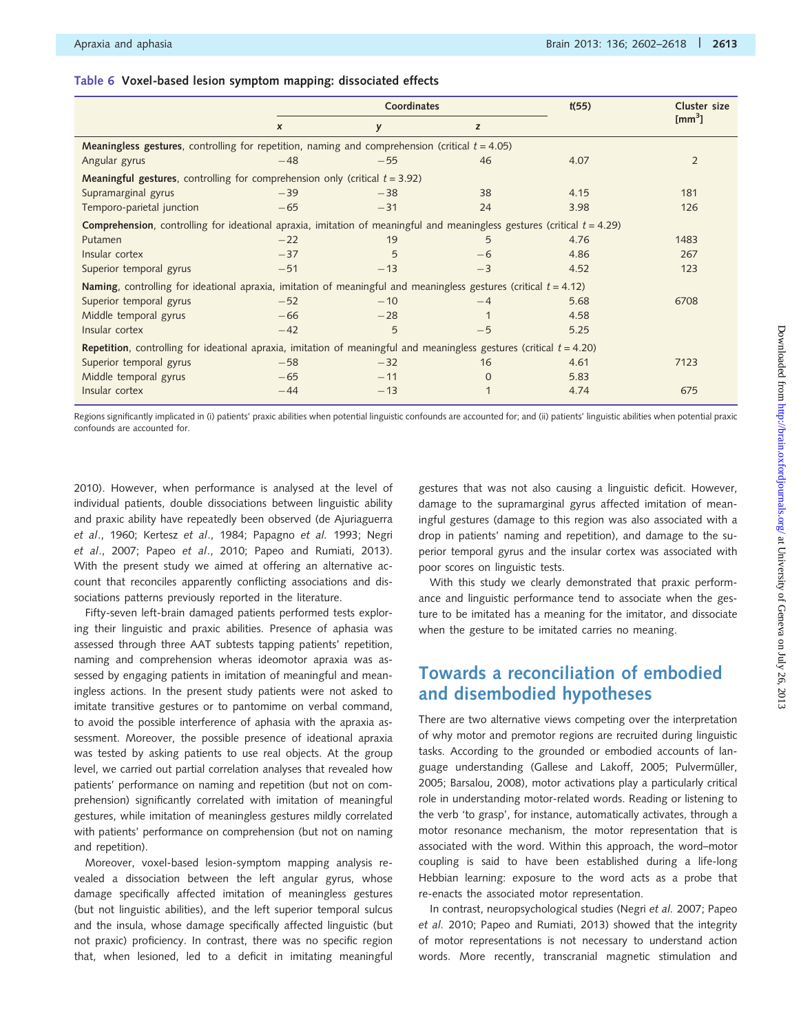#### <span id="page-11-0"></span>Table 6 Voxel-based lesion symptom mapping: dissociated effects

|                                                                                                                                    |                                                                                                          | Coordinates |          | t(55) | Cluster size   |  |  |  |  |  |  |  |
|------------------------------------------------------------------------------------------------------------------------------------|----------------------------------------------------------------------------------------------------------|-------------|----------|-------|----------------|--|--|--|--|--|--|--|
|                                                                                                                                    | $\boldsymbol{x}$                                                                                         | y           | z        |       | $\text{[mm}^3$ |  |  |  |  |  |  |  |
|                                                                                                                                    | <b>Meaningless gestures,</b> controlling for repetition, naming and comprehension (critical $t = 4.05$ ) |             |          |       |                |  |  |  |  |  |  |  |
| Angular gyrus                                                                                                                      | $-48$                                                                                                    | $-55$       | 46       | 4.07  | $\overline{2}$ |  |  |  |  |  |  |  |
| <b>Meaningful gestures,</b> controlling for comprehension only (critical $t = 3.92$ )                                              |                                                                                                          |             |          |       |                |  |  |  |  |  |  |  |
| Supramarginal gyrus                                                                                                                | $-39$                                                                                                    | $-38$       | 38       | 4.15  | 181            |  |  |  |  |  |  |  |
| Temporo-parietal junction                                                                                                          | $-65$                                                                                                    | $-31$       | 24       | 3.98  | 126            |  |  |  |  |  |  |  |
| <b>Comprehension</b> , controlling for ideational apraxia, imitation of meaningful and meaningless gestures (critical $t = 4.29$ ) |                                                                                                          |             |          |       |                |  |  |  |  |  |  |  |
| Putamen                                                                                                                            | $-22$                                                                                                    | 19          | 5        | 4.76  | 1483           |  |  |  |  |  |  |  |
| Insular cortex                                                                                                                     | $-37$                                                                                                    | 5           | $-6$     | 4.86  | 267            |  |  |  |  |  |  |  |
| Superior temporal gyrus                                                                                                            | $-51$                                                                                                    | $-13$       | $-3$     | 4.52  | 123            |  |  |  |  |  |  |  |
| <b>Naming</b> , controlling for ideational apraxia, imitation of meaningful and meaningless gestures (critical $t = 4.12$ )        |                                                                                                          |             |          |       |                |  |  |  |  |  |  |  |
| Superior temporal gyrus                                                                                                            | $-52$                                                                                                    | $-10$       | $-4$     | 5.68  | 6708           |  |  |  |  |  |  |  |
| Middle temporal gyrus                                                                                                              | $-66$                                                                                                    | $-28$       |          | 4.58  |                |  |  |  |  |  |  |  |
| Insular cortex                                                                                                                     | $-42$                                                                                                    | 5           | $-5$     | 5.25  |                |  |  |  |  |  |  |  |
| <b>Repetition</b> , controlling for ideational apraxia, imitation of meaningful and meaningless gestures (critical $t = 4.20$ )    |                                                                                                          |             |          |       |                |  |  |  |  |  |  |  |
| Superior temporal gyrus                                                                                                            | $-58$                                                                                                    | $-32$       | 16       | 4.61  | 7123           |  |  |  |  |  |  |  |
| Middle temporal gyrus                                                                                                              | $-65$                                                                                                    | $-11$       | $\Omega$ | 5.83  |                |  |  |  |  |  |  |  |
| Insular cortex                                                                                                                     | $-44$                                                                                                    | $-13$       |          | 4.74  | 675            |  |  |  |  |  |  |  |

Regions significantly implicated in (i) patients' praxic abilities when potential linguistic confounds are accounted for; and (ii) patients' linguistic abilities when potential praxic confounds are accounted for.

[2010](#page-16-0)). However, when performance is analysed at the level of individual patients, double dissociations between linguistic ability and praxic ability have repeatedly been observed [\(de Ajuriaguerra](#page-15-0) et al[., 1960;](#page-15-0) Kertesz et al[., 1984;](#page-15-0) [Papagno](#page-16-0) et al. 1993; [Negri](#page-15-0) et al[., 2007](#page-15-0); Papeo et al[., 2010](#page-16-0); [Papeo and Rumiati, 2013](#page-16-0)). With the present study we aimed at offering an alternative account that reconciles apparently conflicting associations and dissociations patterns previously reported in the literature.

Fifty-seven left-brain damaged patients performed tests exploring their linguistic and praxic abilities. Presence of aphasia was assessed through three AAT subtests tapping patients' repetition, naming and comprehension wheras ideomotor apraxia was assessed by engaging patients in imitation of meaningful and meaningless actions. In the present study patients were not asked to imitate transitive gestures or to pantomime on verbal command, to avoid the possible interference of aphasia with the apraxia assessment. Moreover, the possible presence of ideational apraxia was tested by asking patients to use real objects. At the group level, we carried out partial correlation analyses that revealed how patients' performance on naming and repetition (but not on comprehension) significantly correlated with imitation of meaningful gestures, while imitation of meaningless gestures mildly correlated with patients' performance on comprehension (but not on naming and repetition).

Moreover, voxel-based lesion-symptom mapping analysis revealed a dissociation between the left angular gyrus, whose damage specifically affected imitation of meaningless gestures (but not linguistic abilities), and the left superior temporal sulcus and the insula, whose damage specifically affected linguistic (but not praxic) proficiency. In contrast, there was no specific region that, when lesioned, led to a deficit in imitating meaningful gestures that was not also causing a linguistic deficit. However, damage to the supramarginal gyrus affected imitation of meaningful gestures (damage to this region was also associated with a drop in patients' naming and repetition), and damage to the superior temporal gyrus and the insular cortex was associated with poor scores on linguistic tests.

With this study we clearly demonstrated that praxic performance and linguistic performance tend to associate when the gesture to be imitated has a meaning for the imitator, and dissociate when the gesture to be imitated carries no meaning.

# Towards a reconciliation of embodied and disembodied hypotheses

There are two alternative views competing over the interpretation of why motor and premotor regions are recruited during linguistic tasks. According to the grounded or embodied accounts of lan-guage understanding ([Gallese and Lakoff, 2005](#page-15-0); Pulvermüller, [2005](#page-16-0); [Barsalou, 2008](#page-15-0)), motor activations play a particularly critical role in understanding motor-related words. Reading or listening to the verb 'to grasp', for instance, automatically activates, through a motor resonance mechanism, the motor representation that is associated with the word. Within this approach, the word–motor coupling is said to have been established during a life-long Hebbian learning: exposure to the word acts as a probe that re-enacts the associated motor representation.

In contrast, neuropsychological studies ([Negri](#page-15-0) et al. 2007; [Papeo](#page-16-0) [et al.](#page-16-0) 2010; [Papeo and Rumiati, 2013](#page-16-0)) showed that the integrity of motor representations is not necessary to understand action words. More recently, transcranial magnetic stimulation and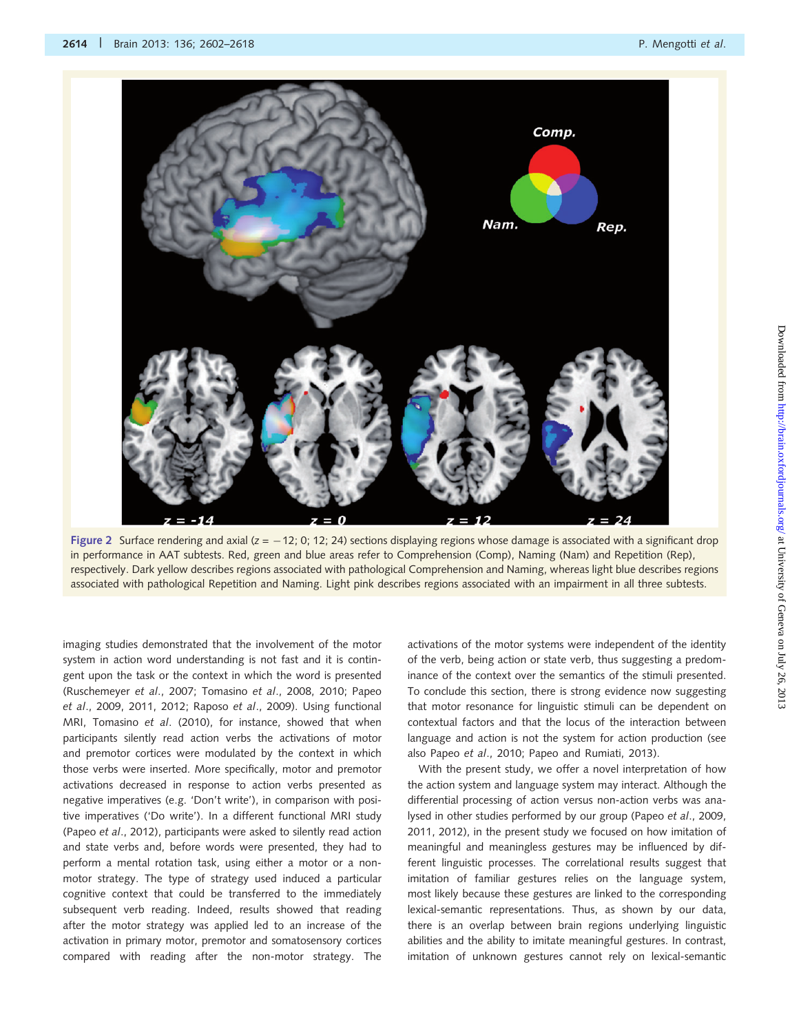<span id="page-12-0"></span>

Figure 2 Surface rendering and axial  $(z = -12; 0; 12; 24)$  sections displaying regions whose damage is associated with a significant drop in performance in AAT subtests. Red, green and blue areas refer to Comprehension (Comp), Naming (Nam) and Repetition (Rep), respectively. Dark yellow describes regions associated with pathological Comprehension and Naming, whereas light blue describes regions associated with pathological Repetition and Naming. Light pink describes regions associated with an impairment in all three subtests.

imaging studies demonstrated that the involvement of the motor system in action word understanding is not fast and it is contingent upon the task or the context in which the word is presented [\(Ruschemeyer](#page-16-0) et al., 2007; [Tomasino](#page-16-0) et al., 2008, [2010](#page-16-0); [Papeo](#page-16-0) et al[., 2009, 2011](#page-16-0), [2012](#page-16-0); Raposo et al[., 2009\)](#page-16-0). Using functional MRI, [Tomasino](#page-16-0) et al. (2010), for instance, showed that when participants silently read action verbs the activations of motor and premotor cortices were modulated by the context in which those verbs were inserted. More specifically, motor and premotor activations decreased in response to action verbs presented as negative imperatives (e.g. 'Don't write'), in comparison with positive imperatives ('Do write'). In a different functional MRI study (Papeo et al[., 2012](#page-16-0)), participants were asked to silently read action and state verbs and, before words were presented, they had to perform a mental rotation task, using either a motor or a nonmotor strategy. The type of strategy used induced a particular cognitive context that could be transferred to the immediately subsequent verb reading. Indeed, results showed that reading after the motor strategy was applied led to an increase of the activation in primary motor, premotor and somatosensory cortices compared with reading after the non-motor strategy. The activations of the motor systems were independent of the identity of the verb, being action or state verb, thus suggesting a predominance of the context over the semantics of the stimuli presented. To conclude this section, there is strong evidence now suggesting that motor resonance for linguistic stimuli can be dependent on contextual factors and that the locus of the interaction between language and action is not the system for action production (see also Papeo et al[., 2010](#page-16-0); [Papeo and Rumiati, 2013](#page-16-0)).

With the present study, we offer a novel interpretation of how the action system and language system may interact. Although the differential processing of action versus non-action verbs was analysed in other studies performed by our group (Papeo et al[., 2009,](#page-16-0) [2011, 2012\)](#page-16-0), in the present study we focused on how imitation of meaningful and meaningless gestures may be influenced by different linguistic processes. The correlational results suggest that imitation of familiar gestures relies on the language system, most likely because these gestures are linked to the corresponding lexical-semantic representations. Thus, as shown by our data, there is an overlap between brain regions underlying linguistic abilities and the ability to imitate meaningful gestures. In contrast, imitation of unknown gestures cannot rely on lexical-semantic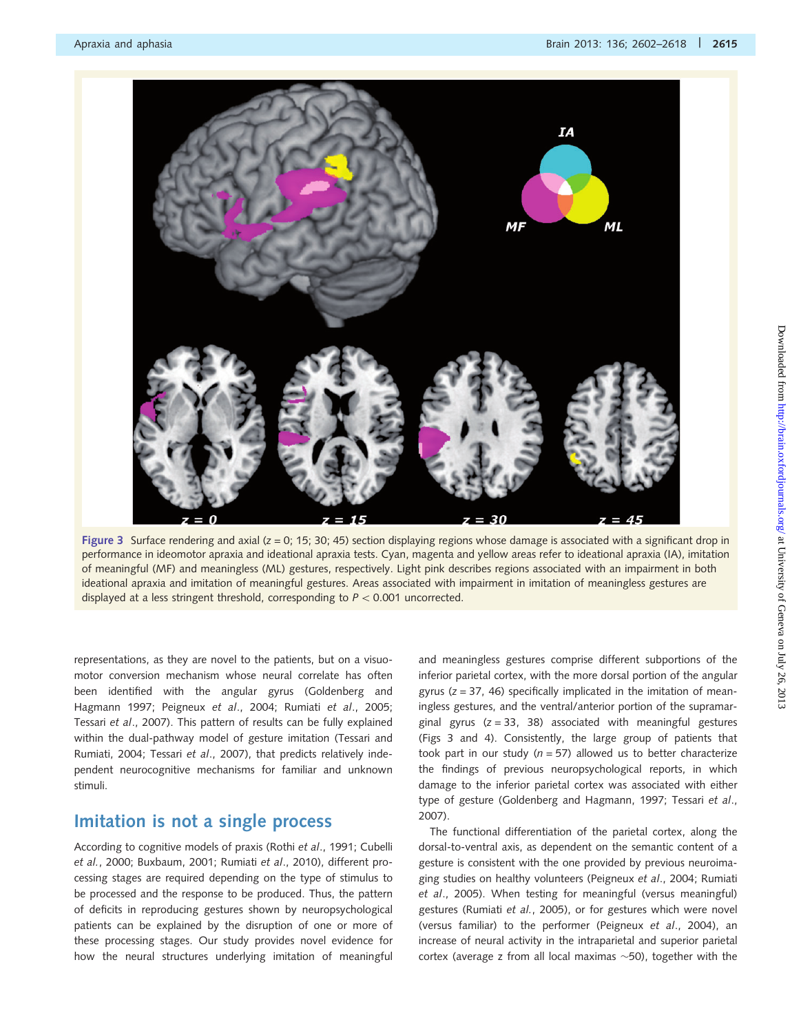<span id="page-13-0"></span>

Figure 3 Surface rendering and axial ( $z = 0$ ; 15; 30; 45) section displaying regions whose damage is associated with a significant drop in performance in ideomotor apraxia and ideational apraxia tests. Cyan, magenta and yellow areas refer to ideational apraxia (IA), imitation of meaningful (MF) and meaningless (ML) gestures, respectively. Light pink describes regions associated with an impairment in both ideational apraxia and imitation of meaningful gestures. Areas associated with impairment in imitation of meaningless gestures are displayed at a less stringent threshold, corresponding to  $P < 0.001$  uncorrected.

representations, as they are novel to the patients, but on a visuomotor conversion mechanism whose neural correlate has often been identified with the angular gyrus ([Goldenberg and](#page-15-0) [Hagmann 1997](#page-15-0); [Peigneux](#page-16-0) et al., 2004; Rumiati et al[., 2005](#page-16-0); Tessari et al[., 2007\)](#page-16-0). This pattern of results can be fully explained within the dual-pathway model of gesture imitation ([Tessari and](#page-16-0) [Rumiati, 2004](#page-16-0); Tessari et al[., 2007](#page-16-0)), that predicts relatively independent neurocognitive mechanisms for familiar and unknown stimuli.

## Imitation is not a single process

According to cognitive models of praxis (Rothi et al[., 1991;](#page-16-0) [Cubelli](#page-15-0) et al.[, 2000; Buxbaum, 2001;](#page-15-0) [Rumiati](#page-16-0) et al., 2010), different processing stages are required depending on the type of stimulus to be processed and the response to be produced. Thus, the pattern of deficits in reproducing gestures shown by neuropsychological patients can be explained by the disruption of one or more of these processing stages. Our study provides novel evidence for how the neural structures underlying imitation of meaningful and meaningless gestures comprise different subportions of the inferior parietal cortex, with the more dorsal portion of the angular gyrus  $(z = 37, 46)$  specifically implicated in the imitation of meaningless gestures, and the ventral/anterior portion of the supramarginal gyrus  $(z = 33, 38)$  associated with meaningful gestures (Figs 3 and [4\)](#page-14-0). Consistently, the large group of patients that took part in our study ( $n = 57$ ) allowed us to better characterize the findings of previous neuropsychological reports, in which damage to the inferior parietal cortex was associated with either type of gesture ([Goldenberg and Hagmann, 1997](#page-15-0); [Tessari](#page-16-0) et al., [2007](#page-16-0)).

The functional differentiation of the parietal cortex, along the dorsal-to-ventral axis, as dependent on the semantic content of a gesture is consistent with the one provided by previous neuroimaging studies on healthy volunteers [\(Peigneux](#page-16-0) et al., 2004; [Rumiati](#page-16-0) et al[., 2005\)](#page-16-0). When testing for meaningful (versus meaningful) gestures ([Rumiati](#page-16-0) et al., 2005), or for gestures which were novel (versus familiar) to the performer [\(Peigneux](#page-16-0) et al., 2004), an increase of neural activity in the intraparietal and superior parietal cortex (average z from all local maximas  $\sim$ 50), together with the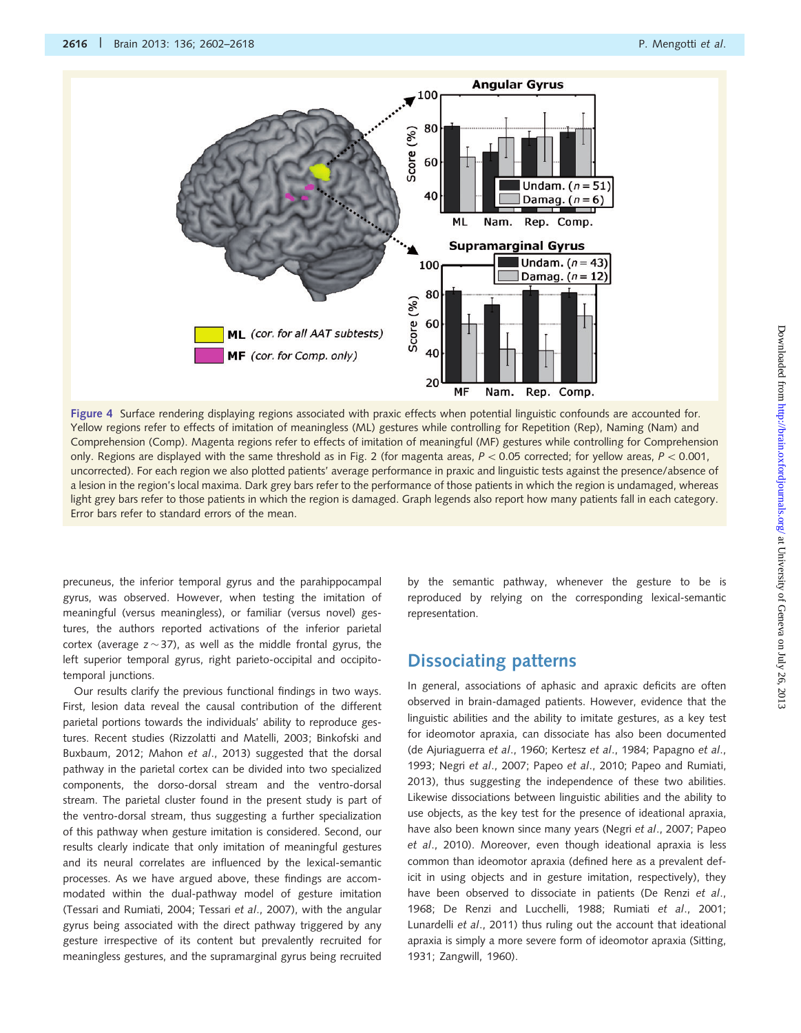<span id="page-14-0"></span>

Figure 4 Surface rendering displaying regions associated with praxic effects when potential linguistic confounds are accounted for. Yellow regions refer to effects of imitation of meaningless (ML) gestures while controlling for Repetition (Rep), Naming (Nam) and Comprehension (Comp). Magenta regions refer to effects of imitation of meaningful (MF) gestures while controlling for Comprehension only. Regions are displayed with the same threshold as in [Fig. 2](#page-12-0) (for magenta areas,  $P < 0.05$  corrected; for yellow areas,  $P < 0.001$ , uncorrected). For each region we also plotted patients' average performance in praxic and linguistic tests against the presence/absence of a lesion in the region's local maxima. Dark grey bars refer to the performance of those patients in which the region is undamaged, whereas light grey bars refer to those patients in which the region is damaged. Graph legends also report how many patients fall in each category. Error bars refer to standard errors of the mean.

precuneus, the inferior temporal gyrus and the parahippocampal gyrus, was observed. However, when testing the imitation of meaningful (versus meaningless), or familiar (versus novel) gestures, the authors reported activations of the inferior parietal cortex (average z $\sim$ 37), as well as the middle frontal gyrus, the left superior temporal gyrus, right parieto-occipital and occipitotemporal junctions.

Our results clarify the previous functional findings in two ways. First, lesion data reveal the causal contribution of the different parietal portions towards the individuals' ability to reproduce gestures. Recent studies [\(Rizzolatti and Matelli, 2003](#page-16-0); [Binkofski and](#page-15-0) [Buxbaum, 2012](#page-15-0); Mahon et al[., 2013](#page-15-0)) suggested that the dorsal pathway in the parietal cortex can be divided into two specialized components, the dorso-dorsal stream and the ventro-dorsal stream. The parietal cluster found in the present study is part of the ventro-dorsal stream, thus suggesting a further specialization of this pathway when gesture imitation is considered. Second, our results clearly indicate that only imitation of meaningful gestures and its neural correlates are influenced by the lexical-semantic processes. As we have argued above, these findings are accommodated within the dual-pathway model of gesture imitation [\(Tessari and Rumiati, 2004;](#page-16-0) Tessari et al[., 2007\)](#page-16-0), with the angular gyrus being associated with the direct pathway triggered by any gesture irrespective of its content but prevalently recruited for meaningless gestures, and the supramarginal gyrus being recruited by the semantic pathway, whenever the gesture to be is reproduced by relying on the corresponding lexical-semantic representation.

## Dissociating patterns

In general, associations of aphasic and apraxic deficits are often observed in brain-damaged patients. However, evidence that the linguistic abilities and the ability to imitate gestures, as a key test for ideomotor apraxia, can dissociate has also been documented ([de Ajuriaguerra](#page-15-0) et al., 1960; Kertesz et al[., 1984;](#page-15-0) [Papagno](#page-16-0) et al., [1993;](#page-16-0) Negri et al[., 2007;](#page-15-0) Papeo et al[., 2010; Papeo and Rumiati,](#page-16-0) [2013\)](#page-16-0), thus suggesting the independence of these two abilities. Likewise dissociations between linguistic abilities and the ability to use objects, as the key test for the presence of ideational apraxia, have also been known since many years (Negri et al[., 2007;](#page-15-0) [Papeo](#page-16-0) et al[., 2010](#page-16-0)). Moreover, even though ideational apraxia is less common than ideomotor apraxia (defined here as a prevalent deficit in using objects and in gesture imitation, respectively), they have been observed to dissociate in patients [\(De Renzi](#page-15-0) et al., [1968; De Renzi and Lucchelli, 1988;](#page-15-0) Rumiati et al[., 2001;](#page-16-0) [Lunardelli](#page-15-0) et al., 2011) thus ruling out the account that ideational apraxia is simply a more severe form of ideomotor apraxia ([Sitting,](#page-16-0) [1931; Zangwill, 1960](#page-16-0)).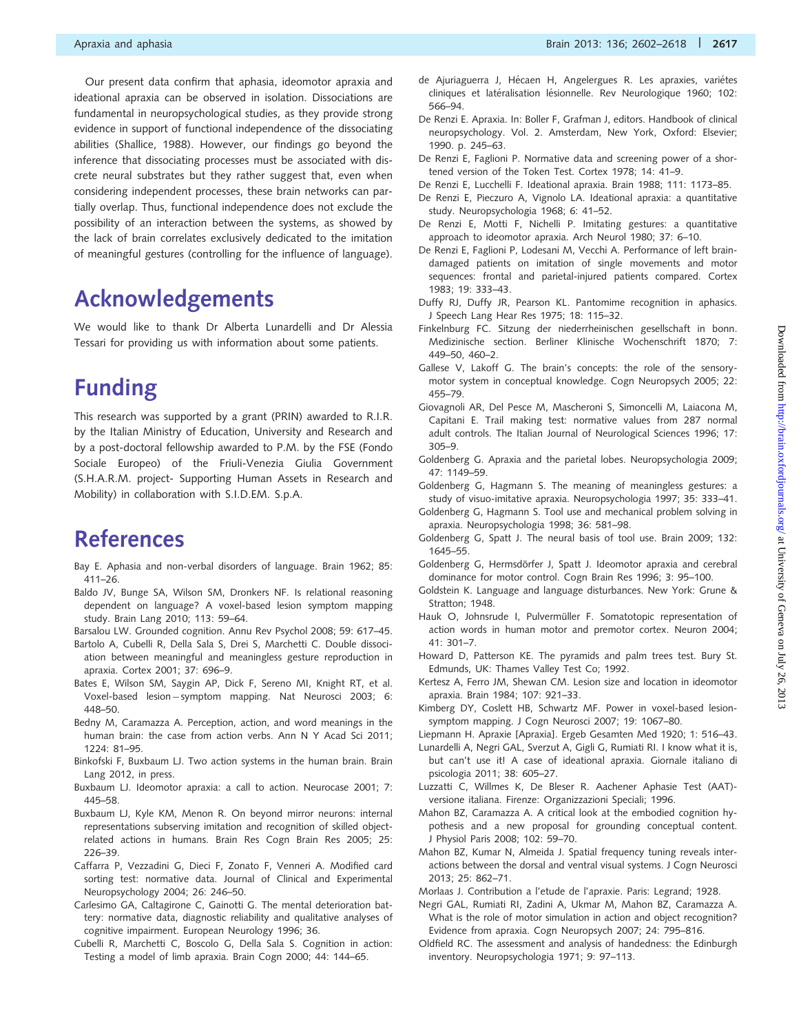<span id="page-15-0"></span>Our present data confirm that aphasia, ideomotor apraxia and ideational apraxia can be observed in isolation. Dissociations are fundamental in neuropsychological studies, as they provide strong evidence in support of functional independence of the dissociating abilities ([Shallice, 1988](#page-16-0)). However, our findings go beyond the inference that dissociating processes must be associated with discrete neural substrates but they rather suggest that, even when considering independent processes, these brain networks can partially overlap. Thus, functional independence does not exclude the possibility of an interaction between the systems, as showed by the lack of brain correlates exclusively dedicated to the imitation of meaningful gestures (controlling for the influence of language).

# Acknowledgements

We would like to thank Dr Alberta Lunardelli and Dr Alessia Tessari for providing us with information about some patients.

# Funding

This research was supported by a grant (PRIN) awarded to R.I.R. by the Italian Ministry of Education, University and Research and by a post-doctoral fellowship awarded to P.M. by the FSE (Fondo Sociale Europeo) of the Friuli-Venezia Giulia Government (S.H.A.R.M. project- Supporting Human Assets in Research and Mobility) in collaboration with S.I.D.EM. S.p.A.

# References

- Bay E. Aphasia and non-verbal disorders of language. Brain 1962; 85: 411–26.
- Baldo JV, Bunge SA, Wilson SM, Dronkers NF. Is relational reasoning dependent on language? A voxel-based lesion symptom mapping study. Brain Lang 2010; 113: 59–64.
- Barsalou LW. Grounded cognition. Annu Rev Psychol 2008; 59: 617–45.
- Bartolo A, Cubelli R, Della Sala S, Drei S, Marchetti C. Double dissociation between meaningful and meaningless gesture reproduction in apraxia. Cortex 2001; 37: 696–9.
- Bates E, Wilson SM, Saygin AP, Dick F, Sereno MI, Knight RT, et al. Voxel-based lesion-symptom mapping. Nat Neurosci 2003; 6: 448–50.
- Bedny M, Caramazza A. Perception, action, and word meanings in the human brain: the case from action verbs. Ann N Y Acad Sci 2011;  $1224.81 - 95$
- Binkofski F, Buxbaum LJ. Two action systems in the human brain. Brain Lang 2012, in press.
- Buxbaum LJ. Ideomotor apraxia: a call to action. Neurocase 2001; 7: 445–58.
- Buxbaum LJ, Kyle KM, Menon R. On beyond mirror neurons: internal representations subserving imitation and recognition of skilled objectrelated actions in humans. Brain Res Cogn Brain Res 2005; 25: 226–39.
- Caffarra P, Vezzadini G, Dieci F, Zonato F, Venneri A. Modified card sorting test: normative data. Journal of Clinical and Experimental Neuropsychology 2004; 26: 246–50.
- Carlesimo GA, Caltagirone C, Gainotti G. The mental deterioration battery: normative data, diagnostic reliability and qualitative analyses of cognitive impairment. European Neurology 1996; 36.
- Cubelli R, Marchetti C, Boscolo G, Della Sala S. Cognition in action: Testing a model of limb apraxia. Brain Cogn 2000; 44: 144–65.
- de Ajuriaguerra J, Hécaen H, Angelergues R. Les apraxies, variétes cliniques et latéralisation lésionnelle. Rev Neurologique 1960; 102: 566–94.
- De Renzi E. Apraxia. In: Boller F, Grafman J, editors. Handbook of clinical neuropsychology. Vol. 2. Amsterdam, New York, Oxford: Elsevier; 1990. p. 245–63.
- De Renzi E, Faglioni P. Normative data and screening power of a shortened version of the Token Test. Cortex 1978; 14: 41–9.
- De Renzi E, Lucchelli F. Ideational apraxia. Brain 1988; 111: 1173–85.
- De Renzi E, Pieczuro A, Vignolo LA. Ideational apraxia: a quantitative study. Neuropsychologia 1968; 6: 41–52.
- De Renzi E, Motti F, Nichelli P. Imitating gestures: a quantitative approach to ideomotor apraxia. Arch Neurol 1980; 37: 6–10.
- De Renzi E, Faglioni P, Lodesani M, Vecchi A. Performance of left braindamaged patients on imitation of single movements and motor sequences: frontal and parietal-injured patients compared. Cortex 1983; 19: 333–43.
- Duffy RJ, Duffy JR, Pearson KL. Pantomime recognition in aphasics. J Speech Lang Hear Res 1975; 18: 115–32.
- Finkelnburg FC. Sitzung der niederrheinischen gesellschaft in bonn. Medizinische section. Berliner Klinische Wochenschrift 1870; 7: 449–50, 460–2.
- Gallese V, Lakoff G. The brain's concepts: the role of the sensorymotor system in conceptual knowledge. Cogn Neuropsych 2005; 22: 455–79.
- Giovagnoli AR, Del Pesce M, Mascheroni S, Simoncelli M, Laiacona M, Capitani E. Trail making test: normative values from 287 normal adult controls. The Italian Journal of Neurological Sciences 1996; 17: 305–9.
- Goldenberg G. Apraxia and the parietal lobes. Neuropsychologia 2009; 47: 1149–59.
- Goldenberg G, Hagmann S. The meaning of meaningless gestures: a study of visuo-imitative apraxia. Neuropsychologia 1997; 35: 333–41.
- Goldenberg G, Hagmann S. Tool use and mechanical problem solving in apraxia. Neuropsychologia 1998; 36: 581–98.
- Goldenberg G, Spatt J. The neural basis of tool use. Brain 2009; 132: 1645–55.
- Goldenberg G, Hermsdörfer J, Spatt J. Ideomotor apraxia and cerebral dominance for motor control. Cogn Brain Res 1996; 3: 95–100.
- Goldstein K. Language and language disturbances. New York: Grune & Stratton: 1948.
- Hauk O, Johnsrude I, Pulvermüller F. Somatotopic representation of action words in human motor and premotor cortex. Neuron 2004; 41: 301–7.
- Howard D, Patterson KE. The pyramids and palm trees test. Bury St. Edmunds, UK: Thames Valley Test Co; 1992.
- Kertesz A, Ferro JM, Shewan CM. Lesion size and location in ideomotor apraxia. Brain 1984; 107: 921–33.
- Kimberg DY, Coslett HB, Schwartz MF. Power in voxel-based lesionsymptom mapping. J Cogn Neurosci 2007; 19: 1067–80.
- Liepmann H. Apraxie [Apraxia]. Ergeb Gesamten Med 1920; 1: 516–43.
- Lunardelli A, Negri GAL, Sverzut A, Gigli G, Rumiati RI. I know what it is, but can't use it! A case of ideational apraxia. Giornale italiano di psicologia 2011; 38: 605–27.
- Luzzatti C, Willmes K, De Bleser R. Aachener Aphasie Test (AAT) versione italiana. Firenze: Organizzazioni Speciali; 1996.
- Mahon BZ, Caramazza A. A critical look at the embodied cognition hypothesis and a new proposal for grounding conceptual content. J Physiol Paris 2008; 102: 59–70.
- Mahon BZ, Kumar N, Almeida J. Spatial frequency tuning reveals interactions between the dorsal and ventral visual systems. J Cogn Neurosci 2013; 25: 862–71.
- Morlaas J. Contribution a l'etude de l'apraxie. Paris: Legrand; 1928.
- Negri GAL, Rumiati RI, Zadini A, Ukmar M, Mahon BZ, Caramazza A. What is the role of motor simulation in action and object recognition? Evidence from apraxia. Cogn Neuropsych 2007; 24: 795–816.
- Oldfield RC. The assessment and analysis of handedness: the Edinburgh inventory. Neuropsychologia 1971; 9: 97–113.